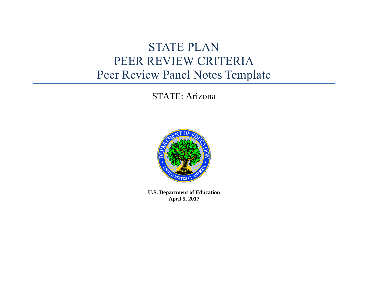# STATE PLAN PEER REVIEW CRITERIA Peer Review Panel Notes Template

## STATE: Arizona



**U.S. Department of Education April 5, 2017**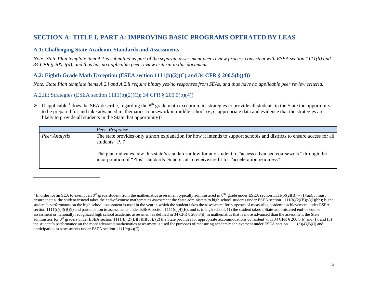## **SECTION A: TITLE I, PART A: IMPROVING BASIC PROGRAMS OPERATED BY LEAS**

#### **A.1: Challenging State Academic Standards and Assessments**

*Note: State Plan template item A.1 is submitted as part of the separate assessment peer review process consistent with ESEA section 1111(b) and 34 CFR § 200.2(d), and thus has no applicable peer review criteria in this document.*

## **A.2: Eighth Grade Math Exception (ESEA section 1111(b)(2)(C) and 34 CFR § 200.5(b)(4))**

*Note: State Plan template items A.2.i and A.2.ii require binary yes/no responses from SEAs, and thus have no applicable peer review criteria.*

#### A.2.iii: Strategies (ESEA section 1111(b)(2)(C); 34 CFR § 200.5(b)(4))

 $\overline{a}$ 

If applicable,<sup>1</sup> does the SEA describe, regarding the 8<sup>th</sup> grade math exception, its strategies to provide all students in the State the opportunity to be prepared for and take advanced mathematics coursework in middle school (*e.g.*, appropriate data and evidence that the strategies are likely to provide all students in the State that opportunity)?

|               | Peer Response                                                                                                                                                                                                   |
|---------------|-----------------------------------------------------------------------------------------------------------------------------------------------------------------------------------------------------------------|
| Peer Analysis | The state provides only a short explanation for how it intends to support schools and districts to ensure access for all<br>students. P. 7                                                                      |
|               | The plan indicates how this state's standards allow for any student to "access advanced coursework" through the<br>incorporation of "Plus" standards. Schools also receive credit for "acceleration readiness". |

<sup>&</sup>lt;sup>1</sup> In order for an SEA to exempt an 8<sup>th</sup> grade student from the mathematics assessment typically administered in 8<sup>th</sup> grade under ESEA section 1111(b)(2)(B)(v)(I)(aa), it must ensure that: a. the student instead takes the end-of-course mathematics assessment the State administers to high school students under ESEA section  $1111(b)(2)(B)(v)(I)(bb)$ ; b. the student's performance on the high school assessment is used in the year in which the student takes the assessment for purposes of measuring academic achievement under ESEA section  $111(c)(4)(B)(i)$  and participation in assessments under ESEA section  $1111(c)(4)(E)$ ; and c. in high school: (1) the student takes a State-administered end-of-course assessment or nationally recognized high school academic assessment as defined in 34 CFR § 200.3(d) in mathematics that is more advanced than the assessment the State administers for 8<sup>th</sup> graders under ESEA section 1111(b)(2)(B)(v)(I)(bb); (2) the State provides for appropriate accommodations consistent with 34 CFR § 200.6(b) and (f); and (3) the student's performance on the more advanced mathematics assessment is used for purposes of measuring academic achievement under ESEA section  $1111(c)(4)(B)(i)$  and participation in assessments under ESEA section  $1111(c)(4)(E)$ .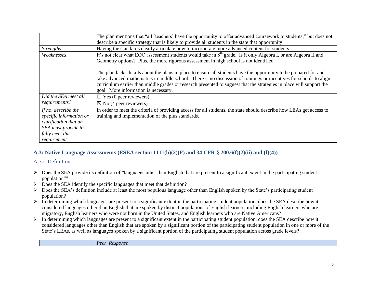|                                                                                                                                  | The plan mentions that "all [teachers] have the opportunity to offer advanced coursework to students," but does not<br>describe a specific strategy that is likely to provide all students in the state that opportunity                                                                                                                                                                                 |
|----------------------------------------------------------------------------------------------------------------------------------|----------------------------------------------------------------------------------------------------------------------------------------------------------------------------------------------------------------------------------------------------------------------------------------------------------------------------------------------------------------------------------------------------------|
| <i>Strengths</i>                                                                                                                 | Having the standards clearly articulate how to incorporate more advanced content for students.                                                                                                                                                                                                                                                                                                           |
| Weaknesses                                                                                                                       | It's not clear what EOC assessment students would take in 8 <sup>th</sup> grade. Is it only Algebra I, or are Algebra II and<br>Geometry options? Plus, the more rigorous assessment in high school is not identified.                                                                                                                                                                                   |
|                                                                                                                                  | The plan lacks details about the plans in place to ensure all students have the opportunity to be prepared for and<br>take advanced mathematics in middle school. There is no discussion of trainings or incentives for schools to align<br>curriculum earlier than middle grades or research presented to suggest that the strategies in place will support the<br>goal. More information is necessary. |
| Did the SEA meet all                                                                                                             | $\Box$ Yes (0 peer reviewers)                                                                                                                                                                                                                                                                                                                                                                            |
| requirements?                                                                                                                    | $\boxtimes$ No (4 peer reviewers)                                                                                                                                                                                                                                                                                                                                                                        |
| If no, describe the<br>specific information or<br>clarification that an<br>SEA must provide to<br>fully meet this<br>requirement | In order to meet the criteria of providing access for all students, the state should describe how LEAs get access to<br>training and implementation of the plus standards.                                                                                                                                                                                                                               |

## **A.3: Native Language Assessments (ESEA section 1111(b)(2)(F) and 34 CFR § 200.6(f)(2)(ii) and (f)(4))**

#### A.3.i: Definition

- Does the SEA provide its definition of "languages other than English that are present to a significant extent in the participating student population"?
- $\triangleright$  Does the SEA identify the specific languages that meet that definition?
- $\triangleright$  Does the SEA's definition include at least the most populous language other than English spoken by the State's participating student population?
- $\triangleright$  In determining which languages are present to a significant extent in the participating student population, does the SEA describe how it considered languages other than English that are spoken by distinct populations of English learners, including English learners who are migratory, English learners who were not born in the United States, and English learners who are Native Americans?
- $\triangleright$  In determining which languages are present to a significant extent in the participating student population, does the SEA describe how it considered languages other than English that are spoken by a significant portion of the participating student population in one or more of the State's LEAs, as well as languages spoken by a significant portion of the participating student population across grade levels?

*Peer Response*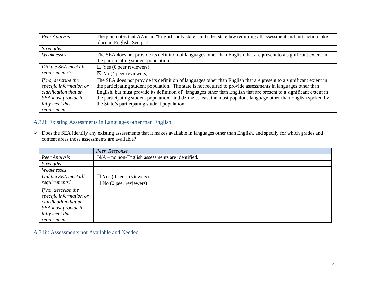| Peer Analysis           | The plan notes that AZ is an "English-only state" and cites state law requiring all assessment and instruction take   |
|-------------------------|-----------------------------------------------------------------------------------------------------------------------|
|                         | place in English. See p. 7                                                                                            |
| <i>Strengths</i>        |                                                                                                                       |
| Weaknesses              | The SEA does not provide its definition of languages other than English that are present to a significant extent in   |
|                         | the participating student population                                                                                  |
| Did the SEA meet all    | $\Box$ Yes (0 peer reviewers)                                                                                         |
| requirements?           | $\boxtimes$ No (4 peer reviewers)                                                                                     |
| If no, describe the     | The SEA does not provide its definition of languages other than English that are present to a significant extent in   |
| specific information or | the participating student population. The state is not required to provide assessments in languages other than        |
| clarification that an   | English, but must provide its definition of "languages other than English that are present to a significant extent in |
| SEA must provide to     | the participating student population" and define at least the most populous language other than English spoken by     |
| fully meet this         | the State's participating student population.                                                                         |
| requirement             |                                                                                                                       |

## A.3.ii: Existing Assessments in Languages other than English

 Does the SEA identify any existing assessments that it makes available in languages other than English, and specify for which grades and content areas those assessments are available?

|                                                | Peer Response                                      |
|------------------------------------------------|----------------------------------------------------|
| Peer Analysis                                  | $N/A$ – no non-English assessments are identified. |
| <i>Strengths</i>                               |                                                    |
| Weaknesses                                     |                                                    |
| Did the SEA meet all                           | $\Box$ Yes (0 peer reviewers)                      |
| requirements?                                  | $\Box$ No (0 peer reviewers)                       |
| If no, describe the<br>specific information or |                                                    |
| clarification that an                          |                                                    |
| SEA must provide to                            |                                                    |
| fully meet this                                |                                                    |
| requirement                                    |                                                    |

A.3.iii: Assessments not Available and Needed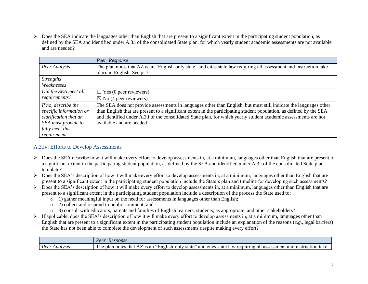$\triangleright$  Does the SEA indicate the languages other than English that are present to a significant extent in the participating student population, as defined by the SEA and identified under A.3.i of the consolidated State plan, for which yearly student academic assessments are not available and are needed?

|                                                                                                                   | Peer Response                                                                                                                                                                                                                                                                                                                                                                             |
|-------------------------------------------------------------------------------------------------------------------|-------------------------------------------------------------------------------------------------------------------------------------------------------------------------------------------------------------------------------------------------------------------------------------------------------------------------------------------------------------------------------------------|
| Peer Analysis                                                                                                     | The plan notes that AZ is an "English-only state" and cites state law requiring all assessment and instruction take<br>place in English. See p. 7                                                                                                                                                                                                                                         |
| <b>Strengths</b>                                                                                                  |                                                                                                                                                                                                                                                                                                                                                                                           |
| Weaknesses                                                                                                        |                                                                                                                                                                                                                                                                                                                                                                                           |
| Did the SEA meet all<br>requirements?                                                                             | $\Box$ Yes (0 peer reviewers)                                                                                                                                                                                                                                                                                                                                                             |
|                                                                                                                   | $\boxtimes$ No (4 peer reviewers)                                                                                                                                                                                                                                                                                                                                                         |
| If no, describe the<br>specific information or<br>clarification that an<br>SEA must provide to<br>fully meet this | The SEA does not provide assessments in languages other than English, but must still indicate the languages other<br>than English that are present to a significant extent in the participating student population, as defined by the SEA<br>and identified under A.3.i of the consolidated State plan, for which yearly student academic assessments are not<br>available and are needed |
| requirement                                                                                                       |                                                                                                                                                                                                                                                                                                                                                                                           |

## A.3.iv: Efforts to Develop Assessments

- $\triangleright$  Does the SEA describe how it will make every effort to develop assessments in, at a minimum, languages other than English that are present to a significant extent in the participating student population, as defined by the SEA and identified under A.3.i of the consolidated State plan template?
- $\triangleright$  Does the SEA's description of how it will make every effort to develop assessments in, at a minimum, languages other than English that are present to a significant extent in the participating student population include the State's plan and timeline for developing such assessments?
- $\triangleright$  Does the SEA's description of how it will make every effort to develop assessments in, at a minimum, languages other than English that are present to a significant extent in the participating student population include a description of the process the State used to:
	- o 1) gather meaningful input on the need for assessments in languages other than English;
	- o 2) collect and respond to public comment; and
	- o 3) consult with educators, parents and families of English learners, students, as appropriate, and other stakeholders?
- $\triangleright$  If applicable, does the SEA's description of how it will make every effort to develop assessments in, at a minimum, languages other than English that are present to a significant extent in the participating student population include an explanation of the reasons (*e.g.*, legal barriers) the State has not been able to complete the development of such assessments despite making every effort?

|                       | Peer<br>Response                                                                                                                                                                                                   |
|-----------------------|--------------------------------------------------------------------------------------------------------------------------------------------------------------------------------------------------------------------|
| Peer<br>Anai<br>tvsis | <b>TIME</b><br>and<br>state<br>$n$ glish-<br>state<br>cites<br>truction<br>∙onlv<br>, an<br>that<br>as<br>-instru<br>take<br>law<br>and<br>note.<br>ssessment<br>reguiring<br>niar<br>aı.<br>$1 \, \text{HC}$<br>¬ |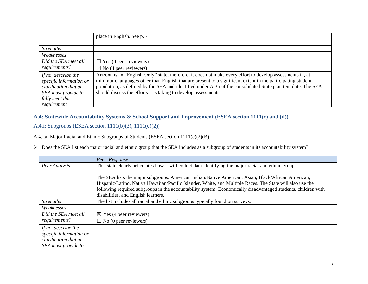|                                                                                                                                  | place in English. See p. 7                                                                                                                                                                                                                                                                                                                                                                                    |
|----------------------------------------------------------------------------------------------------------------------------------|---------------------------------------------------------------------------------------------------------------------------------------------------------------------------------------------------------------------------------------------------------------------------------------------------------------------------------------------------------------------------------------------------------------|
| <i>Strengths</i>                                                                                                                 |                                                                                                                                                                                                                                                                                                                                                                                                               |
| Weaknesses                                                                                                                       |                                                                                                                                                                                                                                                                                                                                                                                                               |
| Did the SEA meet all                                                                                                             | $\Box$ Yes (0 peer reviewers)                                                                                                                                                                                                                                                                                                                                                                                 |
| requirements?                                                                                                                    | $\boxtimes$ No (4 peer reviewers)                                                                                                                                                                                                                                                                                                                                                                             |
| If no, describe the<br>specific information or<br>clarification that an<br>SEA must provide to<br>fully meet this<br>requirement | Arizona is an "English-Only" state; therefore, it does not make every effort to develop assessments in, at<br>minimum, languages other than English that are present to a significant extent in the participating student<br>population, as defined by the SEA and identified under A.3.i of the consolidated State plan template. The SEA<br>should discuss the efforts it is taking to develop assessments. |

## **A.4: Statewide Accountability Systems & School Support and Improvement (ESEA section 1111(c) and (d))**

## A.4.i: Subgroups (ESEA section 1111(b)(3), 1111(c)(2))

## A.4.i.a: Major Racial and Ethnic Subgroups of Students (ESEA section 1111(c)(2)(B))

Does the SEA list each major racial and ethnic group that the SEA includes as a subgroup of students in its accountability system?

|                                                                                                | Peer Response                                                                                                                                                                                                                                                                                                                                                           |
|------------------------------------------------------------------------------------------------|-------------------------------------------------------------------------------------------------------------------------------------------------------------------------------------------------------------------------------------------------------------------------------------------------------------------------------------------------------------------------|
| Peer Analysis                                                                                  | This state clearly articulates how it will collect data identifying the major racial and ethnic groups.                                                                                                                                                                                                                                                                 |
|                                                                                                | The SEA lists the major subgroups: American Indian/Native American, Asian, Black/African American,<br>Hispanic/Latino, Native Hawaiian/Pacific Islander, White, and Multiple Races. The State will also use the<br>following required subgroups in the accountability system: Economically disadvantaged students, children with<br>disabilities, and English learners. |
| <i><u><b>Strengths</b></u></i>                                                                 | The list includes all racial and ethnic subgroups typically found on surveys.                                                                                                                                                                                                                                                                                           |
| Weaknesses                                                                                     |                                                                                                                                                                                                                                                                                                                                                                         |
| Did the SEA meet all                                                                           | $\boxtimes$ Yes (4 peer reviewers)                                                                                                                                                                                                                                                                                                                                      |
| requirements?                                                                                  | $\Box$ No (0 peer reviewers)                                                                                                                                                                                                                                                                                                                                            |
| If no, describe the<br>specific information or<br>clarification that an<br>SEA must provide to |                                                                                                                                                                                                                                                                                                                                                                         |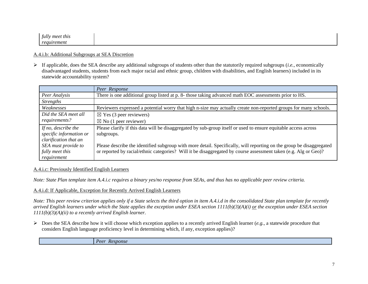| meet<br>tull<br>this |  |
|----------------------|--|
| reguirement          |  |

#### A.4.i.b: Additional Subgroups at SEA Discretion

 If applicable, does the SEA describe any additional subgroups of students other than the statutorily required subgroups (*i.e.*, economically disadvantaged students, students from each major racial and ethnic group, children with disabilities, and English learners) included in its statewide accountability system?

|                                                | Peer Response                                                                                                                 |
|------------------------------------------------|-------------------------------------------------------------------------------------------------------------------------------|
| Peer Analysis                                  | There is one additional group listed at p. 8- those taking advanced math EOC assessments prior to HS.                         |
| <b>Strengths</b>                               |                                                                                                                               |
| Weaknesses                                     | Reviewers expressed a potential worry that high n-size may actually create non-reported groups for many schools.              |
| Did the SEA meet all                           | $\boxtimes$ Yes (3 peer reviewers)                                                                                            |
| requirements?                                  | $\boxtimes$ No (1 peer reviewer)                                                                                              |
| If no, describe the<br>specific information or | Please clarify if this data will be disaggregated by sub-group itself or used to ensure equitable access across<br>subgroups. |
| clarification that an                          |                                                                                                                               |
| SEA must provide to                            | Please describe the identified subgroup with more detail. Specifically, will reporting on the group be disaggregated          |
| fully meet this                                | or reported by racial/ethnic categories? Will it be disaggregated by course assessment taken (e.g. Alg or Geo)?               |
| requirement                                    |                                                                                                                               |

#### A.4.i.c: Previously Identified English Learners

*Note: State Plan template item A.4.i.c requires a binary yes/no response from SEAs, and thus has no applicable peer review criteria.* 

#### A.4.i.d: If Applicable, Exception for Recently Arrived English Learners

*Note: This peer review criterion applies only if a State selects the third option in item A.4.i.d in the consolidated State plan template for recently arrived English learners under which the State applies the exception under ESEA section 1111(b)(3)(A)(i) or the exception under ESEA section 1111(b)(3)(A)(ii) to a recently arrived English learner.*

 $\triangleright$  Does the SEA describe how it will choose which exception applies to a recently arrived English learner (*e.g.*, a statewide procedure that considers English language proficiency level in determining which, if any, exception applies)?

*Peer Response*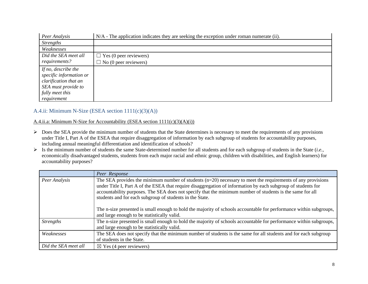| Peer Analysis           | N/A - The application indicates they are seeking the exception under roman numerate (ii). |
|-------------------------|-------------------------------------------------------------------------------------------|
| <i>Strengths</i>        |                                                                                           |
| Weaknesses              |                                                                                           |
| Did the SEA meet all    | $\Box$ Yes (0 peer reviewers)                                                             |
| requirements?           | $\Box$ No (0 peer reviewers)                                                              |
| If no, describe the     |                                                                                           |
| specific information or |                                                                                           |
| clarification that an   |                                                                                           |
| SEA must provide to     |                                                                                           |
| fully meet this         |                                                                                           |
| requirement             |                                                                                           |

## A.4.ii: Minimum N-Size (ESEA section 1111(c)(3)(A))

#### A.4.ii.a: Minimum N-Size for Accountability (ESEA section 1111(c)(3)(A)(i))

- $\triangleright$  Does the SEA provide the minimum number of students that the State determines is necessary to meet the requirements of any provisions under Title I, Part A of the ESEA that require disaggregation of information by each subgroup of students for accountability purposes, including annual meaningful differentiation and identification of schools?
- $\triangleright$  Is the minimum number of students the same State-determined number for all students and for each subgroup of students in the State (*i.e.*, economically disadvantaged students, students from each major racial and ethnic group, children with disabilities, and English learners) for accountability purposes?

|                                                                                                                                                                                                                                                                                                                                                                                                                          | Peer Response                                                                                                                                                     |
|--------------------------------------------------------------------------------------------------------------------------------------------------------------------------------------------------------------------------------------------------------------------------------------------------------------------------------------------------------------------------------------------------------------------------|-------------------------------------------------------------------------------------------------------------------------------------------------------------------|
| The SEA provides the minimum number of students $(n=20)$ necessary to meet the requirements of any provisions<br>Peer Analysis<br>under Title I, Part A of the ESEA that require disaggregation of information by each subgroup of students for<br>accountability purposes. The SEA does not specify that the minimum number of students is the same for all<br>students and for each subgroup of students in the State. |                                                                                                                                                                   |
|                                                                                                                                                                                                                                                                                                                                                                                                                          | The n-size presented is small enough to hold the majority of schools accountable for performance within subgroups,<br>and large enough to be statistically valid. |
| <b>Strengths</b>                                                                                                                                                                                                                                                                                                                                                                                                         | The n-size presented is small enough to hold the majority of schools accountable for performance within subgroups,<br>and large enough to be statistically valid. |
| Weaknesses                                                                                                                                                                                                                                                                                                                                                                                                               | The SEA does not specify that the minimum number of students is the same for all students and for each subgroup<br>of students in the State.                      |
| Did the SEA meet all                                                                                                                                                                                                                                                                                                                                                                                                     | $\boxtimes$ Yes (4 peer reviewers)                                                                                                                                |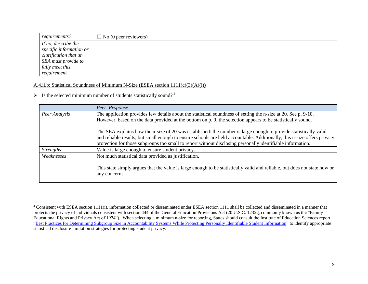| requirements?           | $\Box$ No (0 peer reviewers) |
|-------------------------|------------------------------|
| If no, describe the     |                              |
| specific information or |                              |
| clarification that an   |                              |
| SEA must provide to     |                              |
| fully meet this         |                              |
| requirement             |                              |

#### A.4.ii.b: Statistical Soundness of Minimum N-Size (ESEA section 1111(c)(3)(A)(i))

 $\triangleright$  Is the selected minimum number of students statistically sound?<sup>2</sup>

 $\overline{a}$ 

|                  | Peer Response                                                                                                                              |
|------------------|--------------------------------------------------------------------------------------------------------------------------------------------|
| Peer Analysis    | The application provides few details about the statistical soundness of setting the n-size at 20. See p. 9-10.                             |
|                  | However, based on the data provided at the bottom on p. 9, the selection appears to be statistically sound.                                |
|                  | The SEA explains how the n-size of 20 was established: the number is large enough to provide statistically valid                           |
|                  | and reliable results, but small enough to ensure schools are held accountable. Additionally, this n-size offers privacy                    |
|                  | protection for those subgroups too small to report without disclosing personally identifiable information.                                 |
| <b>Strengths</b> | Value is large enough to ensure student privacy.                                                                                           |
| Weaknesses       | Not much statistical data provided as justification.                                                                                       |
|                  | This state simply argues that the value is large enough to be statistically valid and reliable, but does not state how or<br>any concerns. |

<sup>&</sup>lt;sup>2</sup> Consistent with ESEA section 1111(i), information collected or disseminated under ESEA section 1111 shall be collected and disseminated in a manner that protects the privacy of individuals consistent with section 444 of the General Education Provisions Act (20 U.S.C. 1232g, commonly known as the "Family Educational Rights and Privacy Act of 1974"). When selecting a minimum n-size for reporting, States should consult the Institute of Education Sciences report ["Best Practices for Determining Subgroup Size in Accountability Systems While Protecting Personally Identifiable Student Information"](https://nces.ed.gov/pubs2017/2017147.pdf) to identify appropriate statistical disclosure limitation strategies for protecting student privacy.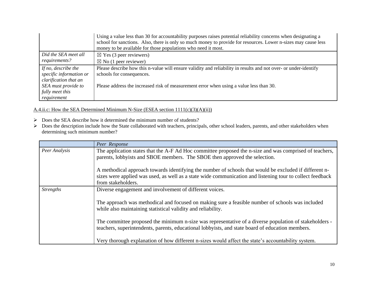|                                                | Using a value less than 30 for accountability purposes raises potential reliability concerns when designating a<br>school for sanctions. Also, there is only so much money to provide for resources. Lower n-sizes may cause less |
|------------------------------------------------|-----------------------------------------------------------------------------------------------------------------------------------------------------------------------------------------------------------------------------------|
|                                                | money to be available for those populations who need it most.                                                                                                                                                                     |
| Did the SEA meet all                           | $\boxtimes$ Yes (3 peer reviewers)                                                                                                                                                                                                |
| requirements?                                  | $\boxtimes$ No (1 peer reviewer)                                                                                                                                                                                                  |
| If no, describe the<br>specific information or | Please describe how this n-value will ensure validity and reliability in results and not over- or under-identify<br>schools for consequences.                                                                                     |
| clarification that an                          |                                                                                                                                                                                                                                   |
| SEA must provide to                            | Please address the increased risk of measurement error when using a value less than 30.                                                                                                                                           |
| fully meet this                                |                                                                                                                                                                                                                                   |
| requirement                                    |                                                                                                                                                                                                                                   |

#### A.4.ii.c: How the SEA Determined Minimum N-Size (ESEA section 1111(c)(3)(A)(ii))

- Does the SEA describe how it determined the minimum number of students?
- Does the description include how the State collaborated with teachers, principals, other school leaders, parents, and other stakeholders when determining such minimum number?

|                  | Peer Response                                                                                                                                                                                                       |
|------------------|---------------------------------------------------------------------------------------------------------------------------------------------------------------------------------------------------------------------|
| Peer Analysis    | The application states that the A-F Ad Hoc committee proposed the n-size and was comprised of teachers,<br>parents, lobbyists and SBOE members. The SBOE then approved the selection.                               |
|                  |                                                                                                                                                                                                                     |
|                  | A methodical approach towards identifying the number of schools that would be excluded if different n-<br>sizes were applied was used, as well as a state wide communication and listening tour to collect feedback |
|                  | from stakeholders.                                                                                                                                                                                                  |
| <b>Strengths</b> | Diverse engagement and involvement of different voices.                                                                                                                                                             |
|                  | The approach was methodical and focused on making sure a feasible number of schools was included<br>while also maintaining statistical validity and reliability.                                                    |
|                  | The committee proposed the minimum n-size was representative of a diverse population of stakeholders -<br>teachers, superintendents, parents, educational lobbyists, and state board of education members.          |
|                  | Very thorough explanation of how different n-sizes would affect the state's accountability system.                                                                                                                  |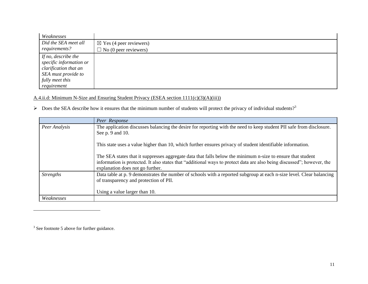| Weaknesses              |                                    |
|-------------------------|------------------------------------|
| Did the SEA meet all    | $\boxtimes$ Yes (4 peer reviewers) |
| requirements?           | $\Box$ No (0 peer reviewers)       |
| If no, describe the     |                                    |
| specific information or |                                    |
| clarification that an   |                                    |
| SEA must provide to     |                                    |
| fully meet this         |                                    |
| requirement             |                                    |

A.4.ii.d: Minimum N-Size and Ensuring Student Privacy (ESEA section 1111(c)(3)(A)(iii))

 $\triangleright$  Does the SEA describe how it ensures that the minimum number of students will protect the privacy of individual students?<sup>3</sup>

|                  | Peer Response                                                                                                                                                                                                                                                             |
|------------------|---------------------------------------------------------------------------------------------------------------------------------------------------------------------------------------------------------------------------------------------------------------------------|
| Peer Analysis    | The application discusses balancing the desire for reporting with the need to keep student PII safe from disclosure.<br>See p. 9 and 10.                                                                                                                                  |
|                  | This state uses a value higher than 10, which further ensures privacy of student identifiable information.                                                                                                                                                                |
|                  | The SEA states that it suppresses aggregate data that falls below the minimum n-size to ensure that student<br>information is protected. It also states that "additional ways to protect data are also being discussed"; however, the<br>explanation does not go further. |
| <b>Strengths</b> | Data table at p. 9 demonstrates the number of schools with a reported subgroup at each n-size level. Clear balancing<br>of transparency and protection of PII.                                                                                                            |
|                  | Using a value larger than 10.                                                                                                                                                                                                                                             |
| Weaknesses       |                                                                                                                                                                                                                                                                           |

 $3$  See footnote 5 above for further guidance.

 $\overline{a}$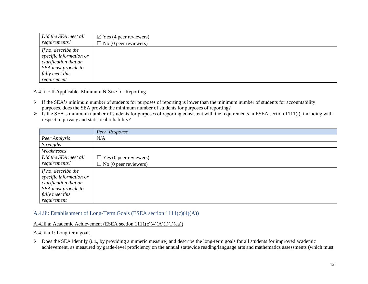| Did the SEA meet all                                                                                                             | $\boxtimes$ Yes (4 peer reviewers) |
|----------------------------------------------------------------------------------------------------------------------------------|------------------------------------|
| requirements?                                                                                                                    | $\Box$ No (0 peer reviewers)       |
| If no, describe the<br>specific information or<br>clarification that an<br>SEA must provide to<br>fully meet this<br>requirement |                                    |

A.4.ii.e: If Applicable, Minimum N-Size for Reporting

- $\triangleright$  If the SEA's minimum number of students for purposes of reporting is lower than the minimum number of students for accountability purposes, does the SEA provide the minimum number of students for purposes of reporting?
- $\triangleright$  Is the SEA's minimum number of students for purposes of reporting consistent with the requirements in ESEA section 1111(i), including with respect to privacy and statistical reliability?

|                                                                                                                                  | Peer Response                 |
|----------------------------------------------------------------------------------------------------------------------------------|-------------------------------|
| Peer Analysis                                                                                                                    | N/A                           |
| <b>Strengths</b>                                                                                                                 |                               |
| Weaknesses                                                                                                                       |                               |
| Did the SEA meet all                                                                                                             | $\Box$ Yes (0 peer reviewers) |
| requirements?                                                                                                                    | $\Box$ No (0 peer reviewers)  |
| If no, describe the<br>specific information or<br>clarification that an<br>SEA must provide to<br>fully meet this<br>requirement |                               |

#### A.4.iii: Establishment of Long-Term Goals (ESEA section 1111(c)(4)(A))

#### A.4.iii.a: Academic Achievement (ESEA section 1111(c)(4)(A)(i)(I)(aa))

A.4.iii.a.1: Long-term goals

 Does the SEA identify (*i.e.*, by providing a numeric measure) and describe the long-term goals for all students for improved academic achievement, as measured by grade-level proficiency on the annual statewide reading/language arts and mathematics assessments (which must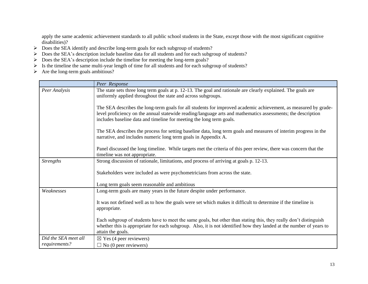apply the same academic achievement standards to all public school students in the State, except those with the most significant cognitive disabilities)?

- Does the SEA identify and describe long-term goals for each subgroup of students?
- > Does the SEA's description include baseline data for all students and for each subgroup of students?
- $\triangleright$  Does the SEA's description include the timeline for meeting the long-term goals?
- $\triangleright$  Is the timeline the same multi-year length of time for all students and for each subgroup of students?
- $\triangleright$  Are the long-term goals ambitious?

|                      | Peer Response                                                                                                                                                                                                                                                                                           |
|----------------------|---------------------------------------------------------------------------------------------------------------------------------------------------------------------------------------------------------------------------------------------------------------------------------------------------------|
| Peer Analysis        | The state sets three long term goals at p. 12-13. The goal and rationale are clearly explained. The goals are<br>uniformly applied throughout the state and across subgroups.                                                                                                                           |
|                      | The SEA describes the long-term goals for all students for improved academic achievement, as measured by grade-<br>level proficiency on the annual statewide reading/language arts and mathematics assessments; the description<br>includes baseline data and timeline for meeting the long term goals. |
|                      | The SEA describes the process for setting baseline data, long term goals and measures of interim progress in the<br>narrative, and includes numeric long term goals in Appendix A.                                                                                                                      |
|                      | Panel discussed the long timeline. While targets met the criteria of this peer review, there was concern that the<br>timeline was not appropriate.                                                                                                                                                      |
| <b>Strengths</b>     | Strong discussion of rationale, limitations, and process of arriving at goals p. 12-13.                                                                                                                                                                                                                 |
|                      | Stakeholders were included as were psychometricians from across the state.                                                                                                                                                                                                                              |
|                      | Long term goals seem reasonable and ambitious                                                                                                                                                                                                                                                           |
| Weaknesses           | Long-term goals are many years in the future despite under performance.                                                                                                                                                                                                                                 |
|                      | It was not defined well as to how the goals were set which makes it difficult to determine if the timeline is<br>appropriate.                                                                                                                                                                           |
|                      | Each subgroup of students have to meet the same goals, but other than stating this, they really don't distinguish<br>whether this is appropriate for each subgroup. Also, it is not identified how they landed at the number of years to<br>attain the goals.                                           |
| Did the SEA meet all | $\boxtimes$ Yes (4 peer reviewers)                                                                                                                                                                                                                                                                      |
| requirements?        | $\Box$ No (0 peer reviewers)                                                                                                                                                                                                                                                                            |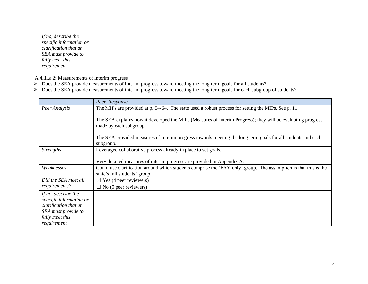| If no, describe the     |
|-------------------------|
| specific information or |
| clarification that an   |
| SEA must provide to     |
| fully meet this         |
| requirement             |

A.4.iii.a.2: Measurements of interim progress

- Does the SEA provide measurements of interim progress toward meeting the long-term goals for all students?
- Does the SEA provide measurements of interim progress toward meeting the long-term goals for each subgroup of students?

|                                                                                                                                  | Peer Response                                                                                                                                    |
|----------------------------------------------------------------------------------------------------------------------------------|--------------------------------------------------------------------------------------------------------------------------------------------------|
| Peer Analysis                                                                                                                    | The MIPs are provided at p. 54-64. The state used a robust process for setting the MIPs. See p. 11                                               |
|                                                                                                                                  | The SEA explains how it developed the MIPs (Measures of Interim Progress); they will be evaluating progress<br>made by each subgroup.            |
|                                                                                                                                  | The SEA provided measures of interim progress towards meeting the long term goals for all students and each<br>subgroup.                         |
| <b>Strengths</b>                                                                                                                 | Leveraged collaborative process already in place to set goals.                                                                                   |
|                                                                                                                                  | Very detailed measures of interim progress are provided in Appendix A.                                                                           |
| Weaknesses                                                                                                                       | Could use clarification around which students comprise the 'FAY only' group. The assumption is that this is the<br>state's 'all students' group. |
| Did the SEA meet all<br>requirements?                                                                                            | $\boxtimes$ Yes (4 peer reviewers)                                                                                                               |
|                                                                                                                                  | $\Box$ No (0 peer reviewers)                                                                                                                     |
| If no, describe the<br>specific information or<br>clarification that an<br>SEA must provide to<br>fully meet this<br>requirement |                                                                                                                                                  |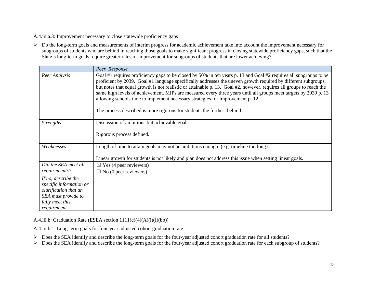#### A.4.iii.a.3: Improvement necessary to close statewide proficiency gaps

 $\triangleright$  Do the long-term goals and measurements of interim progress for academic achievement take into account the improvement necessary for subgroups of students who are behind in reaching those goals to make significant progress in closing statewide proficiency gaps, such that the State's long-term goals require greater rates of improvement for subgroups of students that are lower achieving?

|                                                                                                                                  | Peer Response                                                                                                                                                                                                                                                                                                                                                                                                                                                                                                                                                                                                                                 |
|----------------------------------------------------------------------------------------------------------------------------------|-----------------------------------------------------------------------------------------------------------------------------------------------------------------------------------------------------------------------------------------------------------------------------------------------------------------------------------------------------------------------------------------------------------------------------------------------------------------------------------------------------------------------------------------------------------------------------------------------------------------------------------------------|
| Peer Analysis                                                                                                                    | Goal #1 requires proficiency gaps to be closed by 50% in ten years p. 13 and Goal #2 requires all subgroups to be<br>proficient by 2039. Goal #1 language specifically addresses the uneven growth required by different subgroups,<br>but notes that equal growth is not realistic or attainable p. 13. Goal #2, however, requires all groups to reach the<br>same high levels of achievement. MIPs are measured every three years until all groups meet targets by 2039 p. 13<br>allowing schools time to implement necessary strategies for improvement p. 12.<br>The process described is more rigorous for students the furthest behind. |
| <b>Strengths</b>                                                                                                                 | Discussion of ambitious but achievable goals.<br>Rigorous process defined.                                                                                                                                                                                                                                                                                                                                                                                                                                                                                                                                                                    |
| Weaknesses                                                                                                                       | Length of time to attain goals may not be ambitious enough. (e.g. timeline too long)<br>Linear growth for students is not likely and plan does not address this issue when setting linear goals.                                                                                                                                                                                                                                                                                                                                                                                                                                              |
| Did the SEA meet all<br>requirements?                                                                                            | $\boxtimes$ Yes (4 peer reviewers)<br>$\Box$ No (0 peer reviewers)                                                                                                                                                                                                                                                                                                                                                                                                                                                                                                                                                                            |
| If no, describe the<br>specific information or<br>clarification that an<br>SEA must provide to<br>fully meet this<br>requirement |                                                                                                                                                                                                                                                                                                                                                                                                                                                                                                                                                                                                                                               |

#### A.4.iii.b: Graduation Rate (ESEA section  $1111(c)(4)(A)(i)(I)(bb))$ )

A.4.iii.b.1: Long-term goals for four-year adjusted cohort graduation rate

- Does the SEA identify and describe the long-term goals for the four-year adjusted cohort graduation rate for all students?
- Does the SEA identify and describe the long-term goals for the four-year adjusted cohort graduation rate for each subgroup of students?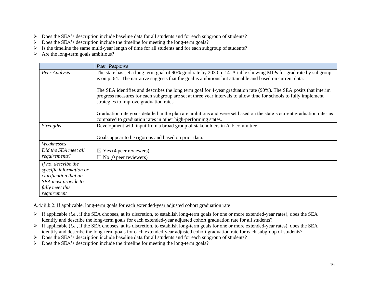- Does the SEA's description include baseline data for all students and for each subgroup of students?
- Does the SEA's description include the timeline for meeting the long-term goals?
- $\triangleright$  Is the timeline the same multi-year length of time for all students and for each subgroup of students?
- $\triangleright$  Are the long-term goals ambitious?

|                                                                                                                                  | Peer Response                                                                                                                                                                                                                                                                   |
|----------------------------------------------------------------------------------------------------------------------------------|---------------------------------------------------------------------------------------------------------------------------------------------------------------------------------------------------------------------------------------------------------------------------------|
| Peer Analysis                                                                                                                    | The state has set a long term goal of 90% grad rate by 2030 p. 14. A table showing MIPs for grad rate by subgroup<br>is on p. 64. The narrative suggests that the goal is ambitious but attainable and based on current data.                                                   |
|                                                                                                                                  | The SEA identifies and describes the long term goal for 4-year graduation rate (90%). The SEA posits that interim<br>progress measures for each subgroup are set at three year intervals to allow time for schools to fully implement<br>strategies to improve graduation rates |
|                                                                                                                                  | Graduation rate goals detailed in the plan are ambitious and were set based on the state's current graduation rates as<br>compared to graduation rates in other high-performing states.                                                                                         |
| <b>Strengths</b>                                                                                                                 | Development with input from a broad group of stakeholders in A-F committee.                                                                                                                                                                                                     |
|                                                                                                                                  | Goals appear to be rigorous and based on prior data.                                                                                                                                                                                                                            |
| Weaknesses                                                                                                                       |                                                                                                                                                                                                                                                                                 |
| Did the SEA meet all                                                                                                             | $\boxtimes$ Yes (4 peer reviewers)                                                                                                                                                                                                                                              |
| requirements?                                                                                                                    | $\Box$ No (0 peer reviewers)                                                                                                                                                                                                                                                    |
| If no, describe the<br>specific information or<br>clarification that an<br>SEA must provide to<br>fully meet this<br>requirement |                                                                                                                                                                                                                                                                                 |

A.4.iii.b.2: If applicable, long-term goals for each extended-year adjusted cohort graduation rate

- If applicable (*i.e.*, if the SEA chooses, at its discretion, to establish long-term goals for one or more extended-year rates), does the SEA identify and describe the long-term goals for each extended-year adjusted cohort graduation rate for all students?
- If applicable (*i.e.*, if the SEA chooses, at its discretion, to establish long-term goals for one or more extended-year rates), does the SEA identify and describe the long-term goals for each extended-year adjusted cohort graduation rate for each subgroup of students?
- Does the SEA's description include baseline data for all students and for each subgroup of students?
- $\triangleright$  Does the SEA's description include the timeline for meeting the long-term goals?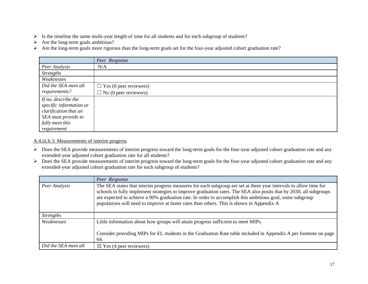- $\triangleright$  Is the timeline the same multi-year length of time for all students and for each subgroup of students?
- $\triangleright$  Are the long-term goals ambitious?
- Are the long-term goals more rigorous than the long-term goals set for the four-year adjusted cohort graduation rate?

|                                                | Peer Response                 |
|------------------------------------------------|-------------------------------|
| Peer Analysis                                  | N/A                           |
| <b>Strengths</b>                               |                               |
| Weaknesses                                     |                               |
| Did the SEA meet all                           | $\Box$ Yes (0 peer reviewers) |
| requirements?                                  | $\Box$ No (0 peer reviewers)  |
| If no, describe the<br>specific information or |                               |
| clarification that an                          |                               |
| SEA must provide to                            |                               |
| fully meet this                                |                               |
| requirement                                    |                               |

#### A.4.iii.b.3: Measurements of interim progress

- > Does the SEA provide measurements of interim progress toward the long-term goals for the four-year adjusted cohort graduation rate and any extended-year adjusted cohort graduation rate for all students?
- Does the SEA provide measurements of interim progress toward the long-term goals for the four-year adjusted cohort graduation rate and any extended-year adjusted cohort graduation rate for each subgroup of students?

|                      | Peer Response                                                                                                                                                                                                                                                                                                                                                                                                                                    |
|----------------------|--------------------------------------------------------------------------------------------------------------------------------------------------------------------------------------------------------------------------------------------------------------------------------------------------------------------------------------------------------------------------------------------------------------------------------------------------|
| Peer Analysis        | The SEA states that interim progress measures for each subgroup are set at three year intervals to allow time for<br>schools to fully implement strategies to improve graduation rates. The SEA also posits that by 2030, all subgroups<br>are expected to achieve a 90% graduation rate. In order to accomplish this ambitious goal, some subgroup<br>populations will need to improve at faster rates than others. This is shown in Appendix A |
| <i>Strengths</i>     |                                                                                                                                                                                                                                                                                                                                                                                                                                                  |
| Weaknesses           | Little information about how groups will attain progress sufficient to meet MIPs.                                                                                                                                                                                                                                                                                                                                                                |
|                      | Consider providing MIPs for EL students in the Graduation Rate table included in Appendix A per footnote on page<br>64.                                                                                                                                                                                                                                                                                                                          |
| Did the SEA meet all | $\boxtimes$ Yes (4 peer reviewers)                                                                                                                                                                                                                                                                                                                                                                                                               |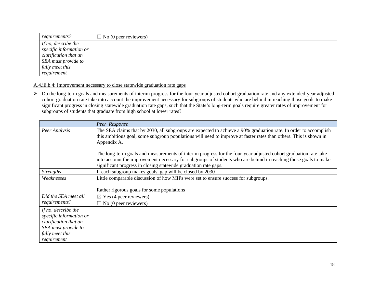| requirements?           | $\Box$ No (0 peer reviewers) |
|-------------------------|------------------------------|
| If no, describe the     |                              |
| specific information or |                              |
| clarification that an   |                              |
| SEA must provide to     |                              |
| fully meet this         |                              |
| requirement             |                              |

A.4.iii.b.4: Improvement necessary to close statewide graduation rate gaps

> Do the long-term goals and measurements of interim progress for the four-year adjusted cohort graduation rate and any extended-year adjusted cohort graduation rate take into account the improvement necessary for subgroups of students who are behind in reaching those goals to make significant progress in closing statewide graduation rate gaps, such that the State's long-term goals require greater rates of improvement for subgroups of students that graduate from high school at lower rates?

|                                                                                                                                  | Peer Response                                                                                                                                                                                                                                                                                         |
|----------------------------------------------------------------------------------------------------------------------------------|-------------------------------------------------------------------------------------------------------------------------------------------------------------------------------------------------------------------------------------------------------------------------------------------------------|
| Peer Analysis                                                                                                                    | The SEA claims that by 2030, all subgroups are expected to achieve a 90% graduation rate. In order to accomplish<br>this ambitious goal, some subgroup populations will need to improve at faster rates than others. This is shown in<br>Appendix A.                                                  |
|                                                                                                                                  | The long-term goals and measurements of interim progress for the four-year adjusted cohort graduation rate take<br>into account the improvement necessary for subgroups of students who are behind in reaching those goals to make<br>significant progress in closing statewide graduation rate gaps. |
| <b>Strengths</b>                                                                                                                 | If each subgroup makes goals, gap will be closed by 2030                                                                                                                                                                                                                                              |
| Weaknesses                                                                                                                       | Little comparable discussion of how MIPs were set to ensure success for subgroups.<br>Rather rigorous goals for some populations                                                                                                                                                                      |
| Did the SEA meet all<br>requirements?                                                                                            | $\boxtimes$ Yes (4 peer reviewers)<br>$\Box$ No (0 peer reviewers)                                                                                                                                                                                                                                    |
| If no, describe the<br>specific information or<br>clarification that an<br>SEA must provide to<br>fully meet this<br>requirement |                                                                                                                                                                                                                                                                                                       |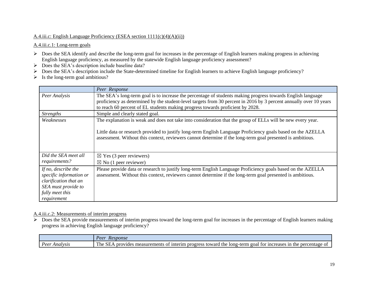#### A.4.iii.c: English Language Proficiency (ESEA section 1111(c)(4)(A)(ii))

#### A.4.iii.c.1: Long-term goals

- $\triangleright$  Does the SEA identify and describe the long-term goal for increases in the percentage of English learners making progress in achieving English language proficiency, as measured by the statewide English language proficiency assessment?
- $\triangleright$  Does the SEA's description include baseline data?
- Does the SEA's description include the State-determined timeline for English learners to achieve English language proficiency?
- $\triangleright$  Is the long-term goal ambitious?

|                                                                                                                                  | Peer Response                                                                                                                                                                                                                                                                                                                             |
|----------------------------------------------------------------------------------------------------------------------------------|-------------------------------------------------------------------------------------------------------------------------------------------------------------------------------------------------------------------------------------------------------------------------------------------------------------------------------------------|
| Peer Analysis                                                                                                                    | The SEA's long-term goal is to increase the percentage of students making progress towards English language<br>proficiency as determined by the student-level targets from 30 percent in 2016 by 3 percent annually over 10 years<br>to reach 60 percent of EL students making progress towards proficient by 2028.                       |
| <i>Strengths</i>                                                                                                                 | Simple and clearly stated goal.                                                                                                                                                                                                                                                                                                           |
| Weaknesses                                                                                                                       | The explanation is weak and does not take into consideration that the group of ELLs will be new every year.<br>Little data or research provided to justify long-term English Language Proficiency goals based on the AZELLA<br>assessment. Without this context, reviewers cannot determine if the long-term goal presented is ambitious. |
| Did the SEA meet all                                                                                                             | $\boxtimes$ Yes (3 peer reviewers)                                                                                                                                                                                                                                                                                                        |
| requirements?                                                                                                                    | $\boxtimes$ No (1 peer reviewer)                                                                                                                                                                                                                                                                                                          |
| If no, describe the<br>specific information or<br>clarification that an<br>SEA must provide to<br>fully meet this<br>requirement | Please provide data or research to justify long-term English Language Proficiency goals based on the AZELLA<br>assessment. Without this context, reviewers cannot determine if the long-term goal presented is ambitious.                                                                                                                 |

#### A.4.iii.c.2: Measurements of interim progress

 $\triangleright$  Does the SEA provide measurements of interim progress toward the long-term goal for increases in the percentage of English learners making progress in achieving English language proficiency?

|                   | Peer<br>Response                                                                                                                                                                                            |
|-------------------|-------------------------------------------------------------------------------------------------------------------------------------------------------------------------------------------------------------|
| Peer.<br>Analysis | T11<br>$\cap$ $\top$<br>∠-term<br>percentage<br>the<br>for increases<br>1nterim<br>toward -<br>long<br>-1n<br>measurements<br>'ne<br>nnnv<br>the<br>progress<br>. goal<br>O1<br>71 des<br>-01<br>ЭEÆ<br>,,, |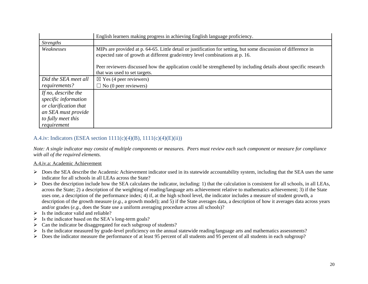|                       | English learners making progress in achieving English language proficiency.                                                                                                                      |
|-----------------------|--------------------------------------------------------------------------------------------------------------------------------------------------------------------------------------------------|
| <i>Strengths</i>      |                                                                                                                                                                                                  |
| Weaknesses            | MIPs are provided at p. 64-65. Little detail or justification for setting, but some discussion of difference in<br>expected rate of growth at different grade/entry level combinations at p. 16. |
|                       | Peer reviewers discussed how the application could be strengthened by including details about specific research<br>that was used to set targets.                                                 |
| Did the SEA meet all  | $\boxtimes$ Yes (4 peer reviewers)                                                                                                                                                               |
| requirements?         | $\Box$ No (0 peer reviewers)                                                                                                                                                                     |
| If no, describe the   |                                                                                                                                                                                                  |
| specific information  |                                                                                                                                                                                                  |
| or clarification that |                                                                                                                                                                                                  |
| an SEA must provide   |                                                                                                                                                                                                  |
| to fully meet this    |                                                                                                                                                                                                  |
| requirement           |                                                                                                                                                                                                  |

## A.4.iv: Indicators (ESEA section  $1111(c)(4)(B)$ ,  $1111(c)(4)(E)(ii)$ )

*Note: A single indicator may consist of multiple components or measures. Peers must review each such component or measure for compliance with all of the required elements.*

#### A.4.iv.a: Academic Achievement

- Does the SEA describe the Academic Achievement indicator used in its statewide accountability system, including that the SEA uses the same indicator for all schools in all LEAs across the State?
- $\triangleright$  Does the description include how the SEA calculates the indicator, including: 1) that the calculation is consistent for all schools, in all LEAs, across the State; 2) a description of the weighting of reading/language arts achievement relative to mathematics achievement; 3) if the State uses one, a description of the performance index; 4) if, at the high school level, the indicator includes a measure of student growth, a description of the growth measure (*e.g.*, a growth model); and 5) if the State averages data, a description of how it averages data across years and/or grades (*e.g.*, does the State use a uniform averaging procedure across all schools)?
- $\triangleright$  Is the indicator valid and reliable?
- $\triangleright$  Is the indicator based on the SEA's long-term goals?
- $\triangleright$  Can the indicator be disaggregated for each subgroup of students?
- $\triangleright$  Is the indicator measured by grade-level proficiency on the annual statewide reading/language arts and mathematics assessments?
- $\triangleright$  Does the indicator measure the performance of at least 95 percent of all students and 95 percent of all students in each subgroup?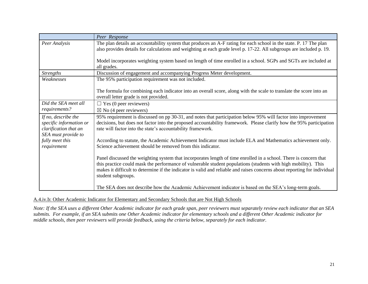|                                                                                                | Peer Response                                                                                                                                                                                                                                                                                                                                                                          |
|------------------------------------------------------------------------------------------------|----------------------------------------------------------------------------------------------------------------------------------------------------------------------------------------------------------------------------------------------------------------------------------------------------------------------------------------------------------------------------------------|
| Peer Analysis                                                                                  | The plan details an accountability system that produces an A-F rating for each school in the state. P. 17 The plan<br>also provides details for calculations and weighting at each grade level p. 17-22. All subgroups are included p. 19.                                                                                                                                             |
|                                                                                                | Model incorporates weighting system based on length of time enrolled in a school. SGPs and SGTs are included at<br>all grades.                                                                                                                                                                                                                                                         |
| <b>Strengths</b>                                                                               | Discussion of engagement and accompanying Progress Meter development.                                                                                                                                                                                                                                                                                                                  |
| Weaknesses                                                                                     | The 95% participation requirement was not included.                                                                                                                                                                                                                                                                                                                                    |
|                                                                                                | The formula for combining each indicator into an overall score, along with the scale to translate the score into an<br>overall letter grade is not provided.                                                                                                                                                                                                                           |
| Did the SEA meet all                                                                           | $\Box$ Yes (0 peer reviewers)                                                                                                                                                                                                                                                                                                                                                          |
| requirements?                                                                                  | $\boxtimes$ No (4 peer reviewers)                                                                                                                                                                                                                                                                                                                                                      |
| If no, describe the<br>specific information or<br>clarification that an<br>SEA must provide to | 95% requirement is discussed on pp 30-31, and notes that participation below 95% will factor into improvement<br>decisions, but does not factor into the proposed accountability framework. Please clarify how the 95% participation<br>rate will factor into the state's accountability framework.                                                                                    |
| fully meet this<br>requirement                                                                 | According to statute, the Academic Achievement Indicator must include ELA and Mathematics achievement only.<br>Science achievement should be removed from this indicator.                                                                                                                                                                                                              |
|                                                                                                | Panel discussed the weighting system that incorporates length of time enrolled in a school. There is concern that<br>this practice could mask the performance of vulnerable student populations (students with high mobility). This<br>makes it difficult to determine if the indicator is valid and reliable and raises concerns about reporting for individual<br>student subgroups. |
|                                                                                                | The SEA does not describe how the Academic Achievement indicator is based on the SEA's long-term goals.                                                                                                                                                                                                                                                                                |

#### A.4.iv.b: Other Academic Indicator for Elementary and Secondary Schools that are Not High Schools

*Note: If the SEA uses a different Other Academic indicator for each grade span, peer reviewers must separately review each indicator that an SEA submits. For example, if an SEA submits one Other Academic indicator for elementary schools and a different Other Academic indicator for middle schools, then peer reviewers will provide feedback, using the criteria below, separately for each indicator.*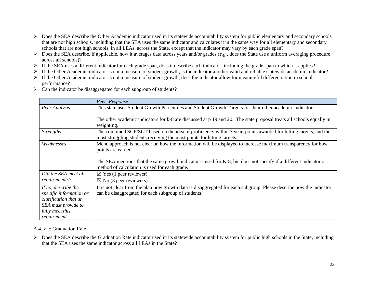- $\triangleright$  Does the SEA describe the Other Academic indicator used in its statewide accountability system for public elementary and secondary schools that are not high schools, including that the SEA uses the same indicator and calculates it in the same way for all elementary and secondary schools that are not high schools, in all LEAs, across the State, except that the indicator may vary by each grade span?
- $\triangleright$  Does the SEA describe, if applicable, how it averages data across years and/or grades (*e.g.*, does the State use a uniform averaging procedure across all schools)?
- $\triangleright$  If the SEA uses a different indicator for each grade span, does it describe each indicator, including the grade span to which it applies?
- $\triangleright$  If the Other Academic indicator is not a measure of student growth, is the indicator another valid and reliable statewide academic indicator?
- $\triangleright$  If the Other Academic indicator is not a measure of student growth, does the indicator allow for meaningful differentiation in school performance?
- $\triangleright$  Can the indicator be disaggregated for each subgroup of students?

|                                                                                                                                  | Peer Response                                                                                                                                                                               |
|----------------------------------------------------------------------------------------------------------------------------------|---------------------------------------------------------------------------------------------------------------------------------------------------------------------------------------------|
| Peer Analysis                                                                                                                    | This state uses Student Growth Percentiles and Student Growth Targets for their other academic indicator.                                                                                   |
|                                                                                                                                  | The other academic indicators for k-8 are discussed at p 19 and 20. The state proposal treats all schools equally in<br>weighting.                                                          |
| <b>Strengths</b>                                                                                                                 | The combined SGP/SGT based on the idea of proficiency within 3 year, points awarded for hitting targets, and the<br>most struggling students receiving the most points for hitting targets. |
| Weaknesses                                                                                                                       | Menu approach is not clear on how the information will be displayed to increase maximum transparency for how<br>points are earned.                                                          |
|                                                                                                                                  | The SEA mentions that the same growth indicator is used for K-8, but does not specify if a different indicator or<br>method of calculation is used for each grade.                          |
| Did the SEA meet all                                                                                                             | $\boxtimes$ Yes (1 peer reviewer)                                                                                                                                                           |
| requirements?                                                                                                                    | $\boxtimes$ No (3 peer reviewers)                                                                                                                                                           |
| If no, describe the<br>specific information or<br>clarification that an<br>SEA must provide to<br>fully meet this<br>requirement | It is not clear from the plan how growth data is disaggregated for each subgroup. Please describe how the indicator<br>can be disaggregated for each subgroup of students.                  |

#### A.4.iv.c: Graduation Rate

> Does the SEA describe the Graduation Rate indicator used in its statewide accountability system for public high schools in the State, including that the SEA uses the same indicator across all LEAs in the State?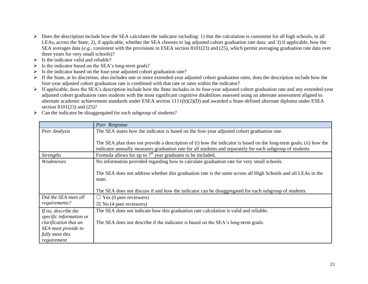- $\triangleright$  Does the description include how the SEA calculates the indicator including: 1) that the calculation is consistent for all high schools, in all LEAs, across the State; 2), if applicable, whether the SEA chooses to lag adjusted cohort graduation rate data; and 3) if applicable, how the SEA averages data (*e.g.*, consistent with the provisions in ESEA section 8101(23) and (25), which permit averaging graduation rate data over three years for very small schools)?
- $\triangleright$  Is the indicator valid and reliable?
- $\triangleright$  Is the indicator based on the SEA's long-term goals?
- $\triangleright$  Is the indicator based on the four-year adjusted cohort graduation rate?
- $\triangleright$  If the State, at its discretion, also includes one or more extended-year adjusted cohort graduation rates, does the description include how the four-year adjusted cohort graduation rate is combined with that rate or rates within the indicator?
- $\triangleright$  If applicable, does the SEA's description include how the State includes in its four-year adjusted cohort graduation rate and any extended-year adjusted cohort graduation rates students with the most significant cognitive disabilities assessed using an alternate assessment aligned to alternate academic achievement standards under ESEA section 1111(b)(2)(D) and awarded a State-defined alternate diploma under ESEA section 8101(23) and (25)?
- $\triangleright$  Can the indicator be disaggregated for each subgroup of students?

|                         | Peer Response                                                                                                      |
|-------------------------|--------------------------------------------------------------------------------------------------------------------|
| Peer Analysis           | The SEA states how the indicator is based on the four-year adjusted cohort graduation rate.                        |
|                         |                                                                                                                    |
|                         | The SEA plan does not provide a description of (i) how the indicator is based on the long-term goals; (ii) how the |
|                         | indicator annually measures graduation rate for all students and separately for each subgroup of students          |
| <b>Strengths</b>        | Formula allows for up to $7th$ year graduates to be included.                                                      |
| Weaknesses              | No information provided regarding how to calculate graduation rate for very small schools.                         |
|                         |                                                                                                                    |
|                         | The SEA does not address whether this graduation rate is the same across all High Schools and all LEAs in the      |
|                         | state.                                                                                                             |
|                         |                                                                                                                    |
|                         | The SEA does not discuss if and how the indicator can be disaggregated for each subgroup of students.              |
| Did the SEA meet all    | $\Box$ Yes (0 peer reviewers)                                                                                      |
| requirements?           | $\boxtimes$ No (4 peer reviewers)                                                                                  |
| If no, describe the     | The SEA does not indicate how this graduation rate calculation is valid and reliable.                              |
| specific information or |                                                                                                                    |
| clarification that an   | The SEA does not describe if the indicator is based on the SEA's long-term goals.                                  |
| SEA must provide to     |                                                                                                                    |
| fully meet this         |                                                                                                                    |
| requirement             |                                                                                                                    |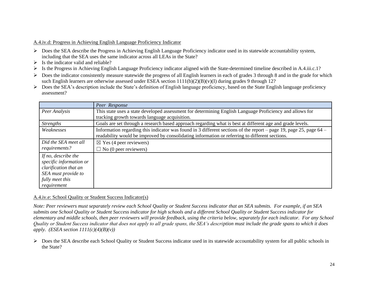#### A.4.iv.d: Progress in Achieving English Language Proficiency Indicator

- Does the SEA describe the Progress in Achieving English Language Proficiency indicator used in its statewide accountability system, including that the SEA uses the same indicator across all LEAs in the State?
- $\triangleright$  Is the indicator valid and reliable?
- Is the Progress in Achieving English Language Proficiency indicator aligned with the State-determined timeline described in A.4.iii.c.1?
- $\triangleright$  Does the indicator consistently measure statewide the progress of all English learners in each of grades 3 through 8 and in the grade for which such English learners are otherwise assessed under ESEA section  $1111(b)(2)(B)(v)(I)$  during grades 9 through 12?
- $\triangleright$  Does the SEA's description include the State's definition of English language proficiency, based on the State English language proficiency assessment?

|                         | Peer Response                                                                                                        |
|-------------------------|----------------------------------------------------------------------------------------------------------------------|
| Peer Analysis           | This state uses a state developed assessment for determining English Language Proficiency and allows for             |
|                         | tracking growth towards language acquisition.                                                                        |
| <b>Strengths</b>        | Goals are set through a research based approach regarding what is best at different age and grade levels.            |
| Weaknesses              | Information regarding this indicator was found in 3 different sections of the report – page 19, page 25, page $64$ – |
|                         | readability would be improved by consolidating information or referring to different sections.                       |
| Did the SEA meet all    | $\boxtimes$ Yes (4 peer reviewers)                                                                                   |
| requirements?           | $\Box$ No (0 peer reviewers)                                                                                         |
| If no, describe the     |                                                                                                                      |
| specific information or |                                                                                                                      |
| clarification that an   |                                                                                                                      |
| SEA must provide to     |                                                                                                                      |
| fully meet this         |                                                                                                                      |
| requirement             |                                                                                                                      |

#### A.4.iv.e: School Quality or Student Success Indicator(s)

*Note: Peer reviewers must separately review each School Quality or Student Success indicator that an SEA submits. For example, if an SEA submits one School Quality or Student Success indicator for high schools and a different School Quality or Student Success indicator for elementary and middle schools, then peer reviewers will provide feedback, using the criteria below, separately for each indicator. For any School Quality or Student Success indicator that does not apply to all grade spans, the SEA's description must include the grade spans to which it does apply. (ESEA section 1111(c)(4)(B)(v))*

 $\triangleright$  Does the SEA describe each School Quality or Student Success indicator used in its statewide accountability system for all public schools in the State?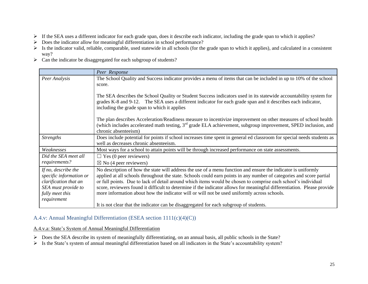- If the SEA uses a different indicator for each grade span, does it describe each indicator, including the grade span to which it applies?
- $\triangleright$  Does the indicator allow for meaningful differentiation in school performance?
- $\triangleright$  Is the indicator valid, reliable, comparable, used statewide in all schools (for the grade span to which it applies), and calculated in a consistent way?
- $\triangleright$  Can the indicator be disaggregated for each subgroup of students?

|                                                                                                                                  | Peer Response                                                                                                                                                                                                                                                                                                                                                                                                                                                                                                                                                                    |
|----------------------------------------------------------------------------------------------------------------------------------|----------------------------------------------------------------------------------------------------------------------------------------------------------------------------------------------------------------------------------------------------------------------------------------------------------------------------------------------------------------------------------------------------------------------------------------------------------------------------------------------------------------------------------------------------------------------------------|
| Peer Analysis                                                                                                                    | The School Quality and Success indicator provides a menu of items that can be included in up to 10% of the school<br>score.                                                                                                                                                                                                                                                                                                                                                                                                                                                      |
|                                                                                                                                  | The SEA describes the School Quality or Student Success indicators used in its statewide accountability system for<br>grades K-8 and 9-12. The SEA uses a different indicator for each grade span and it describes each indicator,<br>including the grade span to which it applies                                                                                                                                                                                                                                                                                               |
|                                                                                                                                  | The plan describes Acceleration/Readiness measure to incentivize improvement on other measures of school health<br>(which includes accelerated math testing, $3rd$ grade ELA achievement, subgroup improvement, SPED inclusion, and<br>chronic absenteeism)                                                                                                                                                                                                                                                                                                                      |
| <b>Strengths</b>                                                                                                                 | Does include potential for points if school increases time spent in general ed classroom for special needs students as<br>well as decreases chronic absenteeism.                                                                                                                                                                                                                                                                                                                                                                                                                 |
| Weaknesses                                                                                                                       | Most ways for a school to attain points will be through increased performance on state assessments.                                                                                                                                                                                                                                                                                                                                                                                                                                                                              |
| Did the SEA meet all<br>requirements?                                                                                            | $\Box$ Yes (0 peer reviewers)<br>$\boxtimes$ No (4 peer reviewers)                                                                                                                                                                                                                                                                                                                                                                                                                                                                                                               |
| If no, describe the<br>specific information or<br>clarification that an<br>SEA must provide to<br>fully meet this<br>requirement | No description of how the state will address the use of a menu function and ensure the indicator is uniformly<br>applied at all schools throughout the state. Schools could earn points in any number of categories and score partial<br>or full points. Due to lack of detail around which items would be chosen to comprise each school's individual<br>score, reviewers found it difficult to determine if the indicator allows for meaningful differentiation. Please provide<br>more information about how the indicator will or will not be used uniformly across schools. |
|                                                                                                                                  | It is not clear that the indicator can be disaggregated for each subgroup of students.                                                                                                                                                                                                                                                                                                                                                                                                                                                                                           |

## A.4.v: Annual Meaningful Differentiation (ESEA section 1111(c)(4)(C))

#### A.4.v.a: State's System of Annual Meaningful Differentiation

- Does the SEA describe its system of meaningfully differentiating, on an annual basis, all public schools in the State?
- $\triangleright$  Is the State's system of annual meaningful differentiation based on all indicators in the State's accountability system?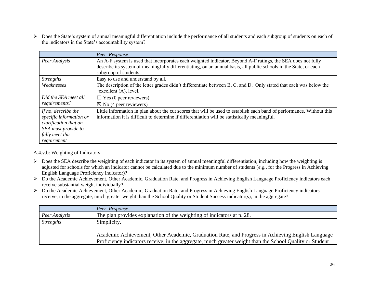Does the State's system of annual meaningful differentiation include the performance of all students and each subgroup of students on each of the indicators in the State's accountability system?

|                                                                                                                                  | Peer Response                                                                                                                                                                                                                                             |
|----------------------------------------------------------------------------------------------------------------------------------|-----------------------------------------------------------------------------------------------------------------------------------------------------------------------------------------------------------------------------------------------------------|
| Peer Analysis                                                                                                                    | An A-F system is used that incorporates each weighted indicator. Beyond A-F ratings, the SEA does not fully<br>describe its system of meaningfully differentiating, on an annual basis, all public schools in the State, or each<br>subgroup of students. |
| <i>Strengths</i>                                                                                                                 | Easy to use and understand by all.                                                                                                                                                                                                                        |
| Weaknesses                                                                                                                       | The description of the letter grades didn't differentiate between B, C, and D. Only stated that each was below the<br>"excellent (A), level.                                                                                                              |
| Did the SEA meet all                                                                                                             | $\Box$ Yes (0 peer reviewers)                                                                                                                                                                                                                             |
| requirements?                                                                                                                    | $\boxtimes$ No (4 peer reviewers)                                                                                                                                                                                                                         |
| If no, describe the<br>specific information or<br>clarification that an<br>SEA must provide to<br>fully meet this<br>requirement | Little information in plan about the cut scores that will be used to establish each band of performance. Without this<br>information it is difficult to determine if differentiation will be statistically meaningful.                                    |

#### A.4.v.b: Weighting of Indicators

- Does the SEA describe the weighting of each indicator in its system of annual meaningful differentiation, including how the weighting is adjusted for schools for which an indicator cannot be calculated due to the minimum number of students (*e.g.*, for the Progress in Achieving English Language Proficiency indicator)?
- ▶ Do the Academic Achievement, Other Academic, Graduation Rate, and Progress in Achieving English Language Proficiency indicators each receive substantial weight individually?
- Do the Academic Achievement, Other Academic, Graduation Rate, and Progress in Achieving English Language Proficiency indicators receive, in the aggregate, much greater weight than the School Quality or Student Success indicator(s), in the aggregate?

|                  | Peer Response                                                                                                                                                                                                 |
|------------------|---------------------------------------------------------------------------------------------------------------------------------------------------------------------------------------------------------------|
| Peer Analysis    | The plan provides explanation of the weighting of indicators at p. 28.                                                                                                                                        |
| <b>Strengths</b> | Simplicity.                                                                                                                                                                                                   |
|                  | Academic Achievement, Other Academic, Graduation Rate, and Progress in Achieving English Language<br>Proficiency indicators receive, in the aggregate, much greater weight than the School Quality or Student |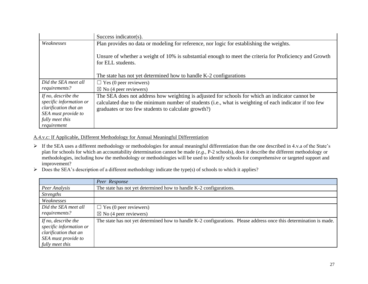|                         | Success indicator( $s$ ).                                                                                                    |
|-------------------------|------------------------------------------------------------------------------------------------------------------------------|
| Weaknesses              | Plan provides no data or modeling for reference, nor logic for establishing the weights.                                     |
|                         | Unsure of whether a weight of 10% is substantial enough to meet the criteria for Proficiency and Growth<br>for ELL students. |
|                         | The state has not yet determined how to handle K-2 configurations                                                            |
| Did the SEA meet all    | $\Box$ Yes (0 peer reviewers)                                                                                                |
| requirements?           | $\boxtimes$ No (4 peer reviewers)                                                                                            |
| If no, describe the     | The SEA does not address how weighting is adjusted for schools for which an indicator cannot be                              |
| specific information or | calculated due to the minimum number of students (i.e., what is weighting of each indicator if too few                       |
| clarification that an   | graduates or too few students to calculate growth?)                                                                          |
| SEA must provide to     |                                                                                                                              |
| fully meet this         |                                                                                                                              |
| requirement             |                                                                                                                              |

A.4.v.c: If Applicable, Different Methodology for Annual Meaningful Differentiation

- If the SEA uses a different methodology or methodologies for annual meaningful differentiation than the one described in 4.v.a of the State's plan for schools for which an accountability determination cannot be made (*e.g.*, P-2 schools), does it describe the different methodology or methodologies, including how the methodology or methodologies will be used to identify schools for comprehensive or targeted support and improvement?
- $\triangleright$  Does the SEA's description of a different methodology indicate the type(s) of schools to which it applies?

|                                                                                                                   | Peer Response                                                                                                      |
|-------------------------------------------------------------------------------------------------------------------|--------------------------------------------------------------------------------------------------------------------|
| Peer Analysis                                                                                                     | The state has not yet determined how to handle K-2 configurations.                                                 |
| <b>Strengths</b>                                                                                                  |                                                                                                                    |
| Weaknesses                                                                                                        |                                                                                                                    |
| Did the SEA meet all                                                                                              | $\Box$ Yes (0 peer reviewers)                                                                                      |
| requirements?                                                                                                     | $\boxtimes$ No (4 peer reviewers)                                                                                  |
| If no, describe the<br>specific information or<br>clarification that an<br>SEA must provide to<br>fully meet this | The state has not yet determined how to handle K-2 configurations. Please address once this determination is made. |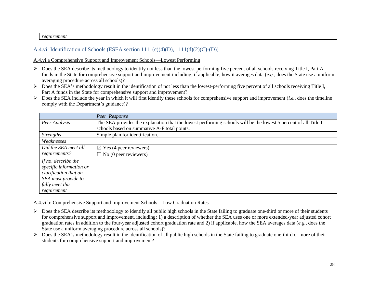#### *requirement*

## A.4.vi: Identification of Schools (ESEA section 1111(c)(4)(D), 1111(d)(2)(C)-(D))

A.4.vi.a Comprehensive Support and Improvement Schools—Lowest Performing

- $\triangleright$  Does the SEA describe its methodology to identify not less than the lowest-performing five percent of all schools receiving Title I, Part A funds in the State for comprehensive support and improvement including, if applicable, how it averages data (*e.g.*, does the State use a uniform averaging procedure across all schools)?
- $\triangleright$  Does the SEA's methodology result in the identification of not less than the lowest-performing five percent of all schools receiving Title I, Part A funds in the State for comprehensive support and improvement?
- Does the SEA include the year in which it will first identify these schools for comprehensive support and improvement (*i.e.*, does the timeline comply with the Department's guidance)?

|                         | Peer Response                                                                                                   |
|-------------------------|-----------------------------------------------------------------------------------------------------------------|
| Peer Analysis           | The SEA provides the explanation that the lowest performing schools will be the lowest 5 percent of all Title I |
|                         | schools based on summative A-F total points.                                                                    |
| <b>Strengths</b>        | Simple plan for identification.                                                                                 |
| Weaknesses              |                                                                                                                 |
| Did the SEA meet all    | $\boxtimes$ Yes (4 peer reviewers)                                                                              |
| requirements?           | $\Box$ No (0 peer reviewers)                                                                                    |
| If no, describe the     |                                                                                                                 |
| specific information or |                                                                                                                 |
| clarification that an   |                                                                                                                 |
| SEA must provide to     |                                                                                                                 |
| fully meet this         |                                                                                                                 |
| requirement             |                                                                                                                 |

A.4.vi.b: Comprehensive Support and Improvement Schools—Low Graduation Rates

- $\triangleright$  Does the SEA describe its methodology to identify all public high schools in the State failing to graduate one-third or more of their students for comprehensive support and improvement, including: 1) a description of whether the SEA uses one or more extended-year adjusted cohort graduation rates in addition to the four-year adjusted cohort graduation rate and 2) if applicable, how the SEA averages data (*e.g.*, does the State use a uniform averaging procedure across all schools)?
- Does the SEA's methodology result in the identification of all public high schools in the State failing to graduate one-third or more of their students for comprehensive support and improvement?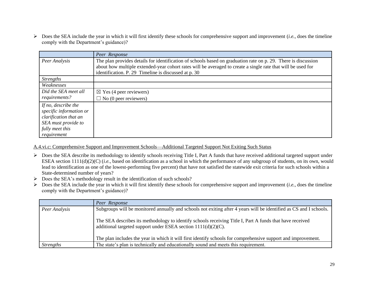Does the SEA include the year in which it will first identify these schools for comprehensive support and improvement (*i.e.*, does the timeline comply with the Department's guidance)?

|                         | Peer Response                                                                                                                                                                                                                  |
|-------------------------|--------------------------------------------------------------------------------------------------------------------------------------------------------------------------------------------------------------------------------|
| Peer Analysis           | The plan provides details for identification of schools based on graduation rate on p. 29. There is discussion<br>about how multiple extended-year cohort rates will be averaged to create a single rate that will be used for |
|                         | identification. P. 29 Timeline is discussed at p. 30                                                                                                                                                                           |
| <b>Strengths</b>        |                                                                                                                                                                                                                                |
| Weaknesses              |                                                                                                                                                                                                                                |
| Did the SEA meet all    | $\boxtimes$ Yes (4 peer reviewers)                                                                                                                                                                                             |
| requirements?           | $\Box$ No (0 peer reviewers)                                                                                                                                                                                                   |
| If no, describe the     |                                                                                                                                                                                                                                |
| specific information or |                                                                                                                                                                                                                                |
| clarification that an   |                                                                                                                                                                                                                                |
| SEA must provide to     |                                                                                                                                                                                                                                |
| fully meet this         |                                                                                                                                                                                                                                |
| requirement             |                                                                                                                                                                                                                                |

A.4.vi.c: Comprehensive Support and Improvement Schools—Additional Targeted Support Not Exiting Such Status

- > Does the SEA describe its methodology to identify schools receiving Title I, Part A funds that have received additional targeted support under ESEA section 1111(d)(2)(C) (*i.e.*, based on identification as a school in which the performance of any subgroup of students, on its own, would lead to identification as one of the lowest-performing five percent) that have not satisfied the statewide exit criteria for such schools within a State-determined number of years?
- $\triangleright$  Does the SEA's methodology result in the identification of such schools?
- $\triangleright$  Does the SEA include the year in which it will first identify these schools for comprehensive support and improvement (*i.e.*, does the timeline comply with the Department's guidance)?

|                  | Peer Response                                                                                                                                                                |
|------------------|------------------------------------------------------------------------------------------------------------------------------------------------------------------------------|
| Peer Analysis    | Subgroups will be monitored annually and schools not exiting after 4 years will be identified as CS and I schools.                                                           |
|                  | The SEA describes its methodology to identify schools receiving Title I, Part A funds that have received<br>additional targeted support under ESEA section $1111(d)(2)(C)$ . |
|                  | The plan includes the year in which it will first identify schools for comprehensive support and improvement.                                                                |
| <b>Strengths</b> | The state's plan is technically and educationally sound and meets this requirement.                                                                                          |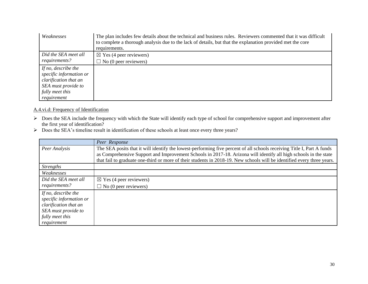| Weaknesses              | The plan includes few details about the technical and business rules. Reviewers commented that it was difficult<br>to complete a thorough analysis due to the lack of details, but that the explanation provided met the core<br>requirements. |
|-------------------------|------------------------------------------------------------------------------------------------------------------------------------------------------------------------------------------------------------------------------------------------|
| Did the SEA meet all    | $\boxtimes$ Yes (4 peer reviewers)                                                                                                                                                                                                             |
| requirements?           | $\Box$ No (0 peer reviewers)                                                                                                                                                                                                                   |
| If no, describe the     |                                                                                                                                                                                                                                                |
| specific information or |                                                                                                                                                                                                                                                |
| clarification that an   |                                                                                                                                                                                                                                                |
| SEA must provide to     |                                                                                                                                                                                                                                                |
| fully meet this         |                                                                                                                                                                                                                                                |
| requirement             |                                                                                                                                                                                                                                                |

#### A.4.vi.d: Frequency of Identification

- ▶ Does the SEA include the frequency with which the State will identify each type of school for comprehensive support and improvement after the first year of identification?
- Does the SEA's timeline result in identification of these schools at least once every three years?

|                                                                                                                                  | Peer Response                                                                                                                                                                                                                                                                                                                                                         |
|----------------------------------------------------------------------------------------------------------------------------------|-----------------------------------------------------------------------------------------------------------------------------------------------------------------------------------------------------------------------------------------------------------------------------------------------------------------------------------------------------------------------|
| Peer Analysis                                                                                                                    | The SEA posits that it will identify the lowest-performing five percent of all schools receiving Title I, Part A funds<br>as Comprehensive Support and Improvement Schools in 2017-18. Arizona will identify all high schools in the state<br>that fail to graduate one-third or more of their students in 2018-19. New schools will be identified every three years. |
| <b>Strengths</b>                                                                                                                 |                                                                                                                                                                                                                                                                                                                                                                       |
| Weaknesses                                                                                                                       |                                                                                                                                                                                                                                                                                                                                                                       |
| Did the SEA meet all                                                                                                             | $\boxtimes$ Yes (4 peer reviewers)                                                                                                                                                                                                                                                                                                                                    |
| requirements?                                                                                                                    | $\Box$ No (0 peer reviewers)                                                                                                                                                                                                                                                                                                                                          |
| If no, describe the<br>specific information or<br>clarification that an<br>SEA must provide to<br>fully meet this<br>requirement |                                                                                                                                                                                                                                                                                                                                                                       |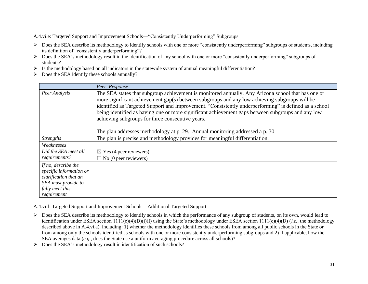#### A.4.vi.e: Targeted Support and Improvement Schools—"Consistently Underperforming" Subgroups

- $\triangleright$  Does the SEA describe its methodology to identify schools with one or more "consistently underperforming" subgroups of students, including its definition of "consistently underperforming"?
- ▶ Does the SEA's methodology result in the identification of any school with one or more "consistently underperforming" subgroups of students?
- $\triangleright$  Is the methodology based on all indicators in the statewide system of annual meaningful differentiation?
- $\triangleright$  Does the SEA identify these schools annually?

|                                                                                                                                  | Peer Response                                                                                                                                                                                                                                                                                                                                                                                                                                                                                                                                          |
|----------------------------------------------------------------------------------------------------------------------------------|--------------------------------------------------------------------------------------------------------------------------------------------------------------------------------------------------------------------------------------------------------------------------------------------------------------------------------------------------------------------------------------------------------------------------------------------------------------------------------------------------------------------------------------------------------|
| Peer Analysis                                                                                                                    | The SEA states that subgroup achievement is monitored annually. Any Arizona school that has one or<br>more significant achievement gap(s) between subgroups and any low achieving subgroups will be<br>identified as Targeted Support and Improvement. "Consistently underperforming" is defined as a school<br>being identified as having one or more significant achievement gaps between subgroups and any low<br>achieving subgroups for three consecutive years.<br>The plan addresses methodology at p. 29. Annual monitoring addressed a p. 30. |
| <b>Strengths</b>                                                                                                                 | The plan is precise and methodology provides for meaningful differentiation.                                                                                                                                                                                                                                                                                                                                                                                                                                                                           |
| Weaknesses                                                                                                                       |                                                                                                                                                                                                                                                                                                                                                                                                                                                                                                                                                        |
| Did the SEA meet all<br>requirements?                                                                                            | $\boxtimes$ Yes (4 peer reviewers)<br>$\Box$ No (0 peer reviewers)                                                                                                                                                                                                                                                                                                                                                                                                                                                                                     |
| If no, describe the<br>specific information or<br>clarification that an<br>SEA must provide to<br>fully meet this<br>requirement |                                                                                                                                                                                                                                                                                                                                                                                                                                                                                                                                                        |

A.4.vi.f: Targeted Support and Improvement Schools—Additional Targeted Support

- $\triangleright$  Does the SEA describe its methodology to identify schools in which the performance of any subgroup of students, on its own, would lead to identification under ESEA section 1111(c)(4)(D)(i)(I) using the State's methodology under ESEA section 1111(c)(4)(D) (*i.e.*, the methodology described above in A.4.vi.a), including: 1) whether the methodology identifies these schools from among all public schools in the State or from among only the schools identified as schools with one or more consistently underperforming subgroups and 2) if applicable, how the SEA averages data (*e.g.*, does the State use a uniform averaging procedure across all schools)?
- $\triangleright$  Does the SEA's methodology result in identification of such schools?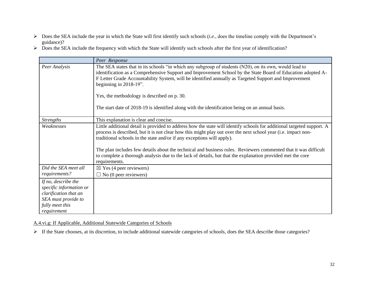- Does the SEA include the year in which the State will first identify such schools (*i.e.*, does the timeline comply with the Department's guidance)?
- $\triangleright$  Does the SEA include the frequency with which the State will identify such schools after the first year of identification?

|                                                                                                                                  | Peer Response                                                                                                                                                                                                                                                                                                                                                                                                                                                                                                                                                       |
|----------------------------------------------------------------------------------------------------------------------------------|---------------------------------------------------------------------------------------------------------------------------------------------------------------------------------------------------------------------------------------------------------------------------------------------------------------------------------------------------------------------------------------------------------------------------------------------------------------------------------------------------------------------------------------------------------------------|
| Peer Analysis                                                                                                                    | The SEA states that in its schools "in which any subgroup of students (N20), on its own, would lead to<br>identification as a Comprehensive Support and Improvement School by the State Board of Education adopted A-<br>F Letter Grade Accountability System, will be identified annually as Targeted Support and Improvement<br>beginning in $2018-19$ ".                                                                                                                                                                                                         |
|                                                                                                                                  | Yes, the methodology is described on p. 30.                                                                                                                                                                                                                                                                                                                                                                                                                                                                                                                         |
|                                                                                                                                  | The start date of 2018-19 is identified along with the identification being on an annual basis.                                                                                                                                                                                                                                                                                                                                                                                                                                                                     |
| <b>Strengths</b>                                                                                                                 | This explanation is clear and concise.                                                                                                                                                                                                                                                                                                                                                                                                                                                                                                                              |
| Weaknesses                                                                                                                       | Little additional detail is provided to address how the state will identify schools for additional targeted support. A<br>process is described, but it is not clear how this might play out over the next school year (i.e. impact non-<br>traditional schools in the state and/or if any exceptions will apply).<br>The plan includes few details about the technical and business rules. Reviewers commented that it was difficult<br>to complete a thorough analysis due to the lack of details, but that the explanation provided met the core<br>requirements. |
| Did the SEA meet all<br>requirements?                                                                                            | $\boxtimes$ Yes (4 peer reviewers)<br>$\Box$ No (0 peer reviewers)                                                                                                                                                                                                                                                                                                                                                                                                                                                                                                  |
| If no, describe the<br>specific information or<br>clarification that an<br>SEA must provide to<br>fully meet this<br>requirement |                                                                                                                                                                                                                                                                                                                                                                                                                                                                                                                                                                     |

A.4.vi.g: If Applicable, Additional Statewide Categories of Schools

If the State chooses, at its discretion, to include additional statewide categories of schools, does the SEA describe those categories?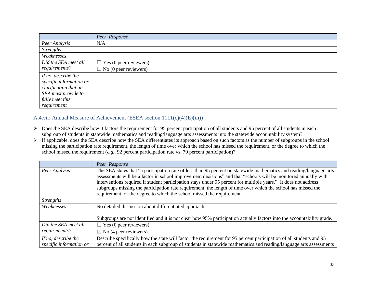|                         | Peer Response                 |
|-------------------------|-------------------------------|
| Peer Analysis           | N/A                           |
| <b>Strengths</b>        |                               |
| Weaknesses              |                               |
| Did the SEA meet all    | $\Box$ Yes (0 peer reviewers) |
| requirements?           | $\Box$ No (0 peer reviewers)  |
| If no, describe the     |                               |
| specific information or |                               |
| clarification that an   |                               |
| SEA must provide to     |                               |
| fully meet this         |                               |
| requirement             |                               |

## A.4.vii: Annual Measure of Achievement (ESEA section 1111(c)(4)(E)(iii))

- ▶ Does the SEA describe how it factors the requirement for 95 percent participation of all students and 95 percent of all students in each subgroup of students in statewide mathematics and reading/language arts assessments into the statewide accountability system?
- If applicable, does the SEA describe how the SEA differentiates its approach based on such factors as the number of subgroups in the school missing the participation rate requirement, the length of time over which the school has missed the requirement, or the degree to which the school missed the requirement (*e.g.*, 92 percent participation rate vs. 70 percent participation)?

|                                                | Peer Response                                                                                                                                                                                                                                                                                                                                                                                                                                                                                                                                         |
|------------------------------------------------|-------------------------------------------------------------------------------------------------------------------------------------------------------------------------------------------------------------------------------------------------------------------------------------------------------------------------------------------------------------------------------------------------------------------------------------------------------------------------------------------------------------------------------------------------------|
| Peer Analysis                                  | The SEA states that "a participation rate of less than 95 percent on statewide mathematics and reading/language arts<br>assessments will be a factor in school improvement decisions" and that "schools will be monitored annually with<br>interventions required if student participation stays under 95 percent for multiple years." It does not address<br>subgroups missing the participation rate requirement, the length of time over which the school has missed the<br>requirement, or the degree to which the school missed the requirement. |
| <i>Strengths</i>                               |                                                                                                                                                                                                                                                                                                                                                                                                                                                                                                                                                       |
| Weaknesses                                     | No detailed discussion about differentiated approach.                                                                                                                                                                                                                                                                                                                                                                                                                                                                                                 |
|                                                | Subgroups are not identified and it is not clear how 95% participation actually factors into the accountability grade.                                                                                                                                                                                                                                                                                                                                                                                                                                |
| Did the SEA meet all                           | $\Box$ Yes (0 peer reviewers)                                                                                                                                                                                                                                                                                                                                                                                                                                                                                                                         |
| requirements?                                  | $\boxtimes$ No (4 peer reviewers)                                                                                                                                                                                                                                                                                                                                                                                                                                                                                                                     |
| If no, describe the<br>specific information or | Describe specifically how the state will factor the requirement for 95 percent participation of all students and 95<br>percent of all students in each subgroup of students in statewide mathematics and reading/language arts assessments                                                                                                                                                                                                                                                                                                            |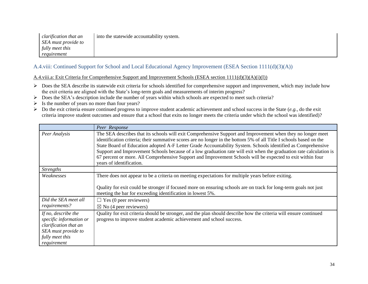| clarification that an | into the statewide accountability system. |
|-----------------------|-------------------------------------------|
| SEA must provide to   |                                           |
| fully meet this       |                                           |
| reguirement           |                                           |

## A.4.viii: Continued Support for School and Local Educational Agency Improvement (ESEA Section 1111(d)(3)(A))

A.4.viii.a: Exit Criteria for Comprehensive Support and Improvement Schools (ESEA section 1111(d)(3)(A)(i)(I))

- $\triangleright$  Does the SEA describe its statewide exit criteria for schools identified for comprehensive support and improvement, which may include how the exit criteria are aligned with the State's long-term goals and measurements of interim progress?
- Does the SEA's description include the number of years within which schools are expected to meet such criteria?
- $\triangleright$  Is the number of years no more than four years?
- Do the exit criteria ensure continued progress to improve student academic achievement and school success in the State (*e.g.*, do the exit criteria improve student outcomes and ensure that a school that exits no longer meets the criteria under which the school was identified)?

|                                                                                                                                  | Peer Response                                                                                                                                                                                                                                                                                                                                                                                                                                                                                                                                                                                                     |
|----------------------------------------------------------------------------------------------------------------------------------|-------------------------------------------------------------------------------------------------------------------------------------------------------------------------------------------------------------------------------------------------------------------------------------------------------------------------------------------------------------------------------------------------------------------------------------------------------------------------------------------------------------------------------------------------------------------------------------------------------------------|
| Peer Analysis                                                                                                                    | The SEA describes that its schools will exit Comprehensive Support and Improvement when they no longer meet<br>identification criteria; their summative scores are no longer in the bottom 5% of all Title I schools based on the<br>State Board of Education adopted A-F Letter Grade Accountability System. Schools identified as Comprehensive<br>Support and Improvement Schools because of a low graduation rate will exit when the graduation rate calculation is<br>67 percent or more. All Comprehensive Support and Improvement Schools will be expected to exit within four<br>years of identification. |
| <b>Strengths</b>                                                                                                                 |                                                                                                                                                                                                                                                                                                                                                                                                                                                                                                                                                                                                                   |
| Weaknesses                                                                                                                       | There does not appear to be a criteria on meeting expectations for multiple years before exiting.<br>Quality for exit could be stronger if focused more on ensuring schools are on track for long-term goals not just<br>meeting the bar for exceeding identification in lowest 5%.                                                                                                                                                                                                                                                                                                                               |
| Did the SEA meet all                                                                                                             | $\Box$ Yes (0 peer reviewers)                                                                                                                                                                                                                                                                                                                                                                                                                                                                                                                                                                                     |
| requirements?                                                                                                                    | $\boxtimes$ No (4 peer reviewers)                                                                                                                                                                                                                                                                                                                                                                                                                                                                                                                                                                                 |
| If no, describe the<br>specific information or<br>clarification that an<br>SEA must provide to<br>fully meet this<br>requirement | Quality for exit criteria should be stronger, and the plan should describe how the criteria will ensure continued<br>progress to improve student academic achievement and school success.                                                                                                                                                                                                                                                                                                                                                                                                                         |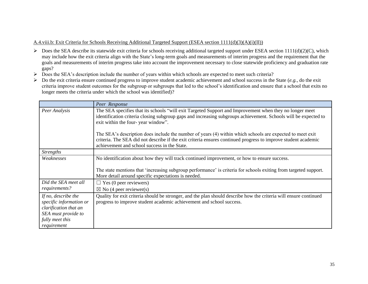#### A.4.viii.b: Exit Criteria for Schools Receiving Additional Targeted Support (ESEA section 1111(d)(3)(A)(i)(II))

- $\triangleright$  Does the SEA describe its statewide exit criteria for schools receiving additional targeted support under ESEA section 1111(d)(2)(C), which may include how the exit criteria align with the State's long-term goals and measurements of interim progress and the requirement that the goals and measurements of interim progress take into account the improvement necessary to close statewide proficiency and graduation rate gaps?
- Does the SEA's description include the number of years within which schools are expected to meet such criteria?
- Do the exit criteria ensure continued progress to improve student academic achievement and school success in the State (*e.g.*, do the exit criteria improve student outcomes for the subgroup or subgroups that led to the school's identification and ensure that a school that exits no longer meets the criteria under which the school was identified)?

|                                                                                                                                  | Peer Response                                                                                                                                                                                                                                                               |
|----------------------------------------------------------------------------------------------------------------------------------|-----------------------------------------------------------------------------------------------------------------------------------------------------------------------------------------------------------------------------------------------------------------------------|
| Peer Analysis                                                                                                                    | The SEA specifies that its schools "will exit Targeted Support and Improvement when they no longer meet<br>identification criteria closing subgroup gaps and increasing subgroups achievement. Schools will be expected to<br>exit within the four-year window".            |
|                                                                                                                                  | The SEA's description does include the number of years (4) within which schools are expected to meet exit<br>criteria. The SEA did not describe if the exit criteria ensures continued progress to improve student academic<br>achievement and school success in the State. |
| <b>Strengths</b>                                                                                                                 |                                                                                                                                                                                                                                                                             |
| Weaknesses                                                                                                                       | No identification about how they will track continued improvement, or how to ensure success.                                                                                                                                                                                |
|                                                                                                                                  | The state mentions that 'increasing subgroup performance' is criteria for schools exiting from targeted support.<br>More detail around specific expectations is needed.                                                                                                     |
| Did the SEA meet all                                                                                                             | $\Box$ Yes (0 peer reviewers)                                                                                                                                                                                                                                               |
| requirements?                                                                                                                    | $\boxtimes$ No (4 peer reviewer(s)                                                                                                                                                                                                                                          |
| If no, describe the<br>specific information or<br>clarification that an<br>SEA must provide to<br>fully meet this<br>requirement | Quality for exit criteria should be stronger, and the plan should describe how the criteria will ensure continued<br>progress to improve student academic achievement and school success.                                                                                   |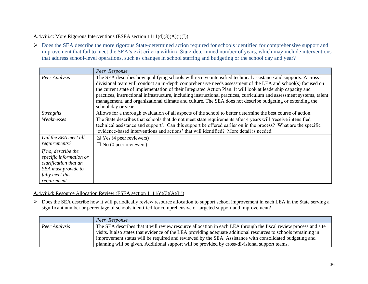#### A.4.viii.c: More Rigorous Interventions (ESEA section 1111(d)(3)(A)(i)(I))

▶ Does the SEA describe the more rigorous State-determined action required for schools identified for comprehensive support and improvement that fail to meet the SEA's exit criteria within a State-determined number of years, which may include interventions that address school-level operations, such as changes in school staffing and budgeting or the school day and year?

|                                                                                                                                  | Peer Response                                                                                                                                                                                                                                                                                                                                                                                                                                                                                                                                                                                            |
|----------------------------------------------------------------------------------------------------------------------------------|----------------------------------------------------------------------------------------------------------------------------------------------------------------------------------------------------------------------------------------------------------------------------------------------------------------------------------------------------------------------------------------------------------------------------------------------------------------------------------------------------------------------------------------------------------------------------------------------------------|
| Peer Analysis                                                                                                                    | The SEA describes how qualifying schools will receive intensified technical assistance and supports. A cross-<br>divisional team will conduct an in-depth comprehensive needs assessment of the LEA and school(s) focused on<br>the current state of implementation of their Integrated Action Plan. It will look at leadership capacity and<br>practices, instructional infrastructure, including instructional practices, curriculum and assessment systems, talent<br>management, and organizational climate and culture. The SEA does not describe budgeting or extending the<br>school day or year. |
| <b>Strengths</b>                                                                                                                 | Allows for a thorough evaluation of all aspects of the school to better determine the best course of action.                                                                                                                                                                                                                                                                                                                                                                                                                                                                                             |
| Weaknesses                                                                                                                       | The State describes that schools that do not meet state requirements after 4 years will 'receive intensified<br>technical assistance and support'. Can this support be offered earlier on in the process? What are the specific<br>'evidence-based interventions and actions' that will identified? More detail is needed.                                                                                                                                                                                                                                                                               |
| Did the SEA meet all<br>requirements?                                                                                            | $\boxtimes$ Yes (4 peer reviewers)<br>$\Box$ No (0 peer reviewers)                                                                                                                                                                                                                                                                                                                                                                                                                                                                                                                                       |
| If no, describe the<br>specific information or<br>clarification that an<br>SEA must provide to<br>fully meet this<br>requirement |                                                                                                                                                                                                                                                                                                                                                                                                                                                                                                                                                                                                          |

#### A.4.viii.d: Resource Allocation Review (ESEA section 1111(d)(3)(A)(ii))

Does the SEA describe how it will periodically review resource allocation to support school improvement in each LEA in the State serving a significant number or percentage of schools identified for comprehensive or targeted support and improvement?

|               | Peer Response                                                                                                    |
|---------------|------------------------------------------------------------------------------------------------------------------|
| Peer Analysis | The SEA describes that it will review resource allocation in each LEA through the fiscal review process and site |
|               | visits. It also states that evidence of the LEA providing adequate additional resources to schools remaining in  |
|               | improvement status will be required and reviewed by the SEA. Assistance with consolidated budgeting and          |
|               | planning will be given. Additional support will be provided by cross-divisional support teams.                   |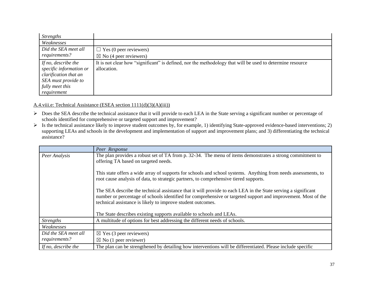| <b>Strengths</b>        |                                                                                                           |
|-------------------------|-----------------------------------------------------------------------------------------------------------|
| Weaknesses              |                                                                                                           |
| Did the SEA meet all    | $\Box$ Yes (0 peer reviewers)                                                                             |
| requirements?           | $\boxtimes$ No (4 peer reviewers)                                                                         |
| If no, describe the     | It is not clear how "significant" is defined, nor the methodology that will be used to determine resource |
| specific information or | allocation.                                                                                               |
| clarification that an   |                                                                                                           |
| SEA must provide to     |                                                                                                           |
| fully meet this         |                                                                                                           |
| requirement             |                                                                                                           |

#### A.4.viii.e: Technical Assistance (ESEA section 1111(d)(3)(A)(iii))

- $\triangleright$  Does the SEA describe the technical assistance that it will provide to each LEA in the State serving a significant number or percentage of schools identified for comprehensive or targeted support and improvement?
- $\triangleright$  Is the technical assistance likely to improve student outcomes by, for example, 1) identifying State-approved evidence-based interventions; 2) supporting LEAs and schools in the development and implementation of support and improvement plans; and 3) differentiating the technical assistance?

|                      | Peer Response                                                                                                                                                                                                                                                                                 |
|----------------------|-----------------------------------------------------------------------------------------------------------------------------------------------------------------------------------------------------------------------------------------------------------------------------------------------|
| Peer Analysis        | The plan provides a robust set of TA from p. 32-34. The menu of items demonstrates a strong commitment to<br>offering TA based on targeted needs.                                                                                                                                             |
|                      | This state offers a wide array of supports for schools and school systems. Anything from needs assessments, to<br>root cause analysis of data, to strategic partners, to comprehensive tiered supports.                                                                                       |
|                      | The SEA describe the technical assistance that it will provide to each LEA in the State serving a significant<br>number or percentage of schools identified for comprehensive or targeted support and improvement. Most of the<br>technical assistance is likely to improve student outcomes. |
|                      | The State describes existing supports available to schools and LEAs.                                                                                                                                                                                                                          |
| <b>Strengths</b>     | A multitude of options for best addressing the different needs of schools.                                                                                                                                                                                                                    |
| Weaknesses           |                                                                                                                                                                                                                                                                                               |
| Did the SEA meet all | $\boxtimes$ Yes (3 peer reviewers)                                                                                                                                                                                                                                                            |
| requirements?        | $\boxtimes$ No (1 peer reviewer)                                                                                                                                                                                                                                                              |
| If no, describe the  | The plan can be strengthened by detailing how interventions will be differentiated. Please include specific                                                                                                                                                                                   |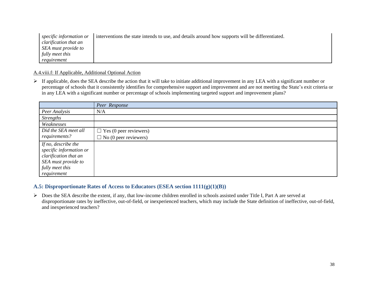| specific information or | interventions the state intends to use, and details around how supports will be differentiated. |
|-------------------------|-------------------------------------------------------------------------------------------------|
| clarification that an   |                                                                                                 |
| SEA must provide to     |                                                                                                 |
| fully meet this         |                                                                                                 |
| requirement             |                                                                                                 |

#### A.4.viii.f: If Applicable, Additional Optional Action

 $\triangleright$  If applicable, does the SEA describe the action that it will take to initiate additional improvement in any LEA with a significant number or percentage of schools that it consistently identifies for comprehensive support and improvement and are not meeting the State's exit criteria or in any LEA with a significant number or percentage of schools implementing targeted support and improvement plans?

|                         | Peer Response                 |
|-------------------------|-------------------------------|
| Peer Analysis           | N/A                           |
| <b>Strengths</b>        |                               |
| Weaknesses              |                               |
| Did the SEA meet all    | $\Box$ Yes (0 peer reviewers) |
| requirements?           | $\Box$ No (0 peer reviewers)  |
| If no, describe the     |                               |
| specific information or |                               |
| clarification that an   |                               |
| SEA must provide to     |                               |
| fully meet this         |                               |
| requirement             |                               |

#### **A.5: Disproportionate Rates of Access to Educators (ESEA section 1111(g)(1)(B))**

▶ Does the SEA describe the extent, if any, that low-income children enrolled in schools assisted under Title I, Part A are served at disproportionate rates by ineffective, out-of-field, or inexperienced teachers, which may include the State definition of ineffective, out-of-field, and inexperienced teachers?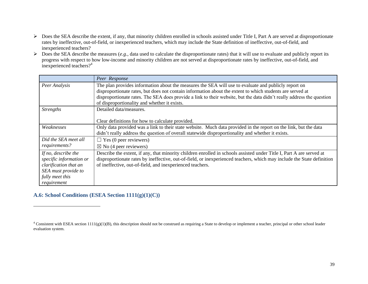- Does the SEA describe the extent, if any, that minority children enrolled in schools assisted under Title I, Part A are served at disproportionate rates by ineffective, out-of-field, or inexperienced teachers, which may include the State definition of ineffective, out-of-field, and inexperienced teachers?
- $\triangleright$  Does the SEA describe the measures (*e.g.*, data used to calculate the disproportionate rates) that it will use to evaluate and publicly report its progress with respect to how low-income and minority children are not served at disproportionate rates by ineffective, out-of-field, and inexperienced teachers?<sup>4</sup>

|                         | Peer Response                                                                                                          |
|-------------------------|------------------------------------------------------------------------------------------------------------------------|
| Peer Analysis           | The plan provides information about the measures the SEA will use to evaluate and publicly report on                   |
|                         | disproportionate rates, but does not contain information about the extent to which students are served at              |
|                         | disproportionate rates. The SEA does provide a link to their website, but the data didn't really address the question  |
|                         | of disproportionality and whether it exists.                                                                           |
| <b>Strengths</b>        | Detailed data/measures.                                                                                                |
|                         |                                                                                                                        |
|                         | Clear definitions for how to calculate provided.                                                                       |
| Weaknesses              | Only data provided was a link to their state website. Much data provided in the report on the link, but the data       |
|                         | didn't really address the question of overall statewide disproportionality and whether it exists.                      |
| Did the SEA meet all    | $\Box$ Yes (0 peer reviewers)                                                                                          |
| requirements?           | $\boxtimes$ No (4 peer reviewers)                                                                                      |
| If no, describe the     | Describe the extent, if any, that minority children enrolled in schools assisted under Title I, Part A are served at   |
| specific information or | disproportionate rates by ineffective, out-of-field, or inexperienced teachers, which may include the State definition |
| clarification that an   | of ineffective, out-of-field, and inexperienced teachers.                                                              |
| SEA must provide to     |                                                                                                                        |
| fully meet this         |                                                                                                                        |
| requirement             |                                                                                                                        |

## **A.6: School Conditions (ESEA Section 1111(g)(1)(C))**

 $\overline{a}$ 

 $4$  Consistent with ESEA section 1111(g)(1)(B), this description should not be construed as requiring a State to develop or implement a teacher, principal or other school leader evaluation system.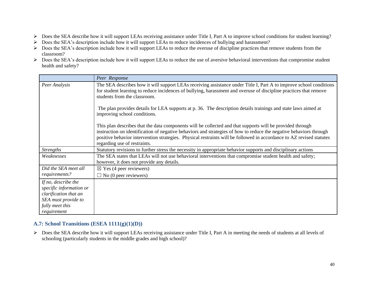- Does the SEA describe how it will support LEAs receiving assistance under Title I, Part A to improve school conditions for student learning?
- Does the SEA's description include how it will support LEAs to reduce incidences of bullying and harassment?
- $\triangleright$  Does the SEA's description include how it will support LEAs to reduce the overuse of discipline practices that remove students from the classroom?
- Does the SEA's description include how it will support LEAs to reduce the use of aversive behavioral interventions that compromise student health and safety?

|                                                                                                                                  | Peer Response                                                                                                                                                                                                                                                                                                                                                                           |
|----------------------------------------------------------------------------------------------------------------------------------|-----------------------------------------------------------------------------------------------------------------------------------------------------------------------------------------------------------------------------------------------------------------------------------------------------------------------------------------------------------------------------------------|
| Peer Analysis                                                                                                                    | The SEA describes how it will support LEAs receiving assistance under Title I, Part A to improve school conditions<br>for student learning to reduce incidences of bullying, harassment and overuse of discipline practices that remove<br>students from the classroom.                                                                                                                 |
|                                                                                                                                  | The plan provides details for LEA supports at p. 36. The description details trainings and state laws aimed at<br>improving school conditions.                                                                                                                                                                                                                                          |
|                                                                                                                                  | This plan describes that the data components will be collected and that supports will be provided through<br>instruction on identification of negative behaviors and strategies of how to reduce the negative behaviors through<br>positive behavior intervention strategies. Physical restraints will be followed in accordance to AZ revised statutes<br>regarding use of restraints. |
| <b>Strengths</b>                                                                                                                 | Statutory revisions to further stress the necessity in appropriate behavior supports and disciplinary actions                                                                                                                                                                                                                                                                           |
| Weaknesses                                                                                                                       | The SEA states that LEAs will not use behavioral interventions that compromise student health and safety;<br>however, it does not provide any details.                                                                                                                                                                                                                                  |
| Did the SEA meet all                                                                                                             | $\boxtimes$ Yes (4 peer reviewers)                                                                                                                                                                                                                                                                                                                                                      |
| requirements?                                                                                                                    | $\Box$ No (0 peer reviewers)                                                                                                                                                                                                                                                                                                                                                            |
| If no, describe the<br>specific information or<br>clarification that an<br>SEA must provide to<br>fully meet this<br>requirement |                                                                                                                                                                                                                                                                                                                                                                                         |

## **A.7: School Transitions (ESEA 1111(g)(1)(D))**

 Does the SEA describe how it will support LEAs receiving assistance under Title I, Part A in meeting the needs of students at all levels of schooling (particularly students in the middle grades and high school)?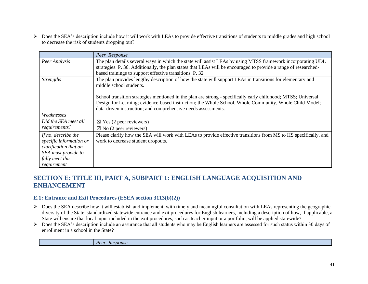Does the SEA's description include how it will work with LEAs to provide effective transitions of students to middle grades and high school to decrease the risk of students dropping out?

|                                                                                                                                  | Peer Response                                                                                                                                                                                                                                                                             |
|----------------------------------------------------------------------------------------------------------------------------------|-------------------------------------------------------------------------------------------------------------------------------------------------------------------------------------------------------------------------------------------------------------------------------------------|
| Peer Analysis                                                                                                                    | The plan details several ways in which the state will assist LEAs by using MTSS framework incorporating UDL<br>strategies. P. 36. Additionally, the plan states that LEAs will be encouraged to provide a range of researched-<br>based trainings to support effective transitions. P. 32 |
| <b>Strengths</b>                                                                                                                 | The plan provides lengthy description of how the state will support LEAs in transitions for elementary and<br>middle school students.                                                                                                                                                     |
|                                                                                                                                  | School transition strategies mentioned in the plan are strong - specifically early childhood; MTSS; Universal<br>Design for Learning; evidence-based instruction; the Whole School, Whole Community, Whole Child Model;<br>data-driven instruction; and comprehensive needs assessments.  |
| Weaknesses                                                                                                                       |                                                                                                                                                                                                                                                                                           |
| Did the SEA meet all<br>requirements?                                                                                            | $\boxtimes$ Yes (2 peer reviewers)<br>$\boxtimes$ No (2 peer reviewers)                                                                                                                                                                                                                   |
| If no, describe the<br>specific information or<br>clarification that an<br>SEA must provide to<br>fully meet this<br>requirement | Please clarify how the SEA will work with LEAs to provide effective transitions from MS to HS specifically, and<br>work to decrease student dropouts.                                                                                                                                     |

## **SECTION E: TITLE III, PART A, SUBPART 1: ENGLISH LANGUAGE ACQUISITION AND ENHANCEMENT**

#### **E.1: Entrance and Exit Procedures (ESEA section 3113(b)(2))**

- $\triangleright$  Does the SEA describe how it will establish and implement, with timely and meaningful consultation with LEAs representing the geographic diversity of the State, standardized statewide entrance and exit procedures for English learners, including a description of how, if applicable, a State will ensure that local input included in the exit procedures, such as teacher input or a portfolio, will be applied statewide?
- $\triangleright$  Does the SEA's description include an assurance that all students who may be English learners are assessed for such status within 30 days of enrollment in a school in the State?

*Peer Response*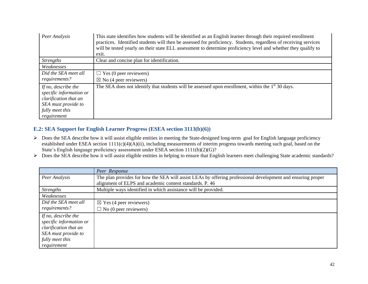| Peer Analysis                                                                                                                    | This state identifies how students will be identified as an English learner through their required enrollment<br>practices. Identified students will then be assessed for proficiency. Students, regardless of receiving services<br>will be tested yearly on their state ELL assessment to determine proficiency level and whether they qualify to<br>exit. |
|----------------------------------------------------------------------------------------------------------------------------------|--------------------------------------------------------------------------------------------------------------------------------------------------------------------------------------------------------------------------------------------------------------------------------------------------------------------------------------------------------------|
| <i>Strengths</i>                                                                                                                 | Clear and concise plan for identification.                                                                                                                                                                                                                                                                                                                   |
| Weaknesses                                                                                                                       |                                                                                                                                                                                                                                                                                                                                                              |
| Did the SEA meet all                                                                                                             | $\Box$ Yes (0 peer reviewers)                                                                                                                                                                                                                                                                                                                                |
| requirements?                                                                                                                    | $\boxtimes$ No (4 peer reviewers)                                                                                                                                                                                                                                                                                                                            |
| If no, describe the<br>specific information or<br>clarification that an<br>SEA must provide to<br>fully meet this<br>requirement | The SEA does not identify that students will be assessed upon enrollment, within the $1st$ 30 days.                                                                                                                                                                                                                                                          |

## **E.2: SEA Support for English Learner Progress (ESEA section 3113(b)(6))**

- $\triangleright$  Does the SEA describe how it will assist eligible entities in meeting the State-designed long-term goal for English language proficiency established under ESEA section 1111(c)(4)(A)(ii), including measurements of interim progress towards meeting such goal, based on the State's English language proficiency assessment under ESEA section 1111(b)(2)(G)?
- ▶ Does the SEA describe how it will assist eligible entities in helping to ensure that English learners meet challenging State academic standards?

|                         | Peer Response                                                                                                                                                          |
|-------------------------|------------------------------------------------------------------------------------------------------------------------------------------------------------------------|
| Peer Analysis           | The plan provides for how the SEA will assist LEAs by offering professional development and ensuring proper<br>alignment of ELPS and academic content standards. P. 46 |
|                         |                                                                                                                                                                        |
| <b>Strengths</b>        | Multiple ways identified in which assistance will be provided.                                                                                                         |
| Weaknesses              |                                                                                                                                                                        |
| Did the SEA meet all    | $\boxtimes$ Yes (4 peer reviewers)                                                                                                                                     |
| requirements?           | $\Box$ No (0 peer reviewers)                                                                                                                                           |
| If no, describe the     |                                                                                                                                                                        |
| specific information or |                                                                                                                                                                        |
| clarification that an   |                                                                                                                                                                        |
| SEA must provide to     |                                                                                                                                                                        |
| fully meet this         |                                                                                                                                                                        |
| requirement             |                                                                                                                                                                        |